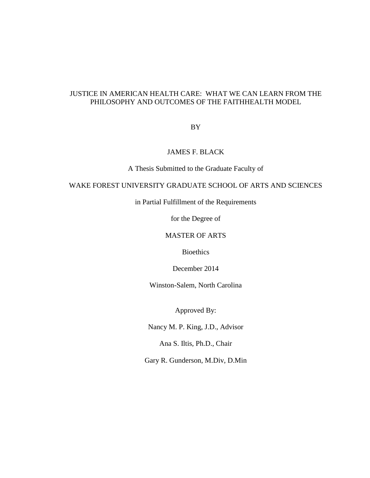## JUSTICE IN AMERICAN HEALTH CARE: WHAT WE CAN LEARN FROM THE PHILOSOPHY AND OUTCOMES OF THE FAITHHEALTH MODEL

BY

## JAMES F. BLACK

A Thesis Submitted to the Graduate Faculty of

## WAKE FOREST UNIVERSITY GRADUATE SCHOOL OF ARTS AND SCIENCES

in Partial Fulfillment of the Requirements

for the Degree of

## MASTER OF ARTS

Bioethics

December 2014

Winston-Salem, North Carolina

Approved By:

Nancy M. P. King, J.D., Advisor

Ana S. Iltis, Ph.D., Chair

Gary R. Gunderson, M.Div, D.Min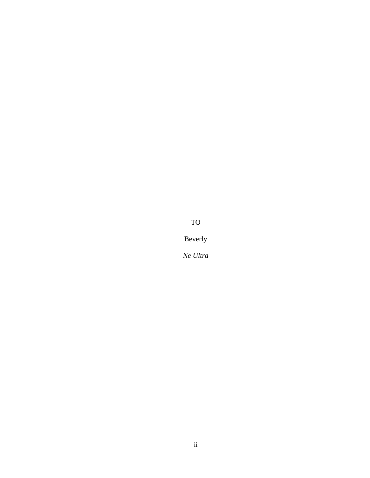TO

Beverly

*Ne Ultra*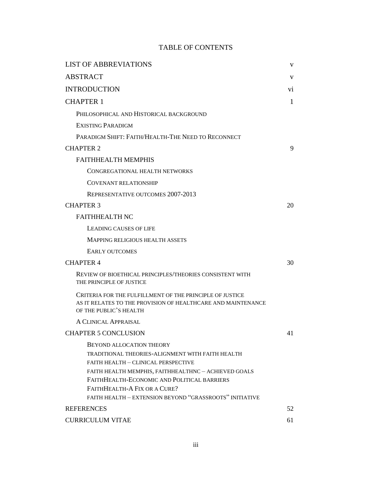# TABLE OF CONTENTS

| <b>LIST OF ABBREVIATIONS</b>                                                                                                                                                                                                                                                                                                 | V   |
|------------------------------------------------------------------------------------------------------------------------------------------------------------------------------------------------------------------------------------------------------------------------------------------------------------------------------|-----|
| <b>ABSTRACT</b>                                                                                                                                                                                                                                                                                                              | v   |
| <b>INTRODUCTION</b>                                                                                                                                                                                                                                                                                                          | Vİ. |
| <b>CHAPTER 1</b>                                                                                                                                                                                                                                                                                                             | 1   |
| PHILOSOPHICAL AND HISTORICAL BACKGROUND                                                                                                                                                                                                                                                                                      |     |
| <b>EXISTING PARADIGM</b>                                                                                                                                                                                                                                                                                                     |     |
| PARADIGM SHIFT: FAITH/HEALTH-THE NEED TO RECONNECT                                                                                                                                                                                                                                                                           |     |
| <b>CHAPTER 2</b>                                                                                                                                                                                                                                                                                                             | 9   |
| <b>FAITHHEALTH MEMPHIS</b>                                                                                                                                                                                                                                                                                                   |     |
| CONGREGATIONAL HEALTH NETWORKS                                                                                                                                                                                                                                                                                               |     |
| <b>COVENANT RELATIONSHIP</b>                                                                                                                                                                                                                                                                                                 |     |
| REPRESENTATIVE OUTCOMES 2007-2013                                                                                                                                                                                                                                                                                            |     |
| <b>CHAPTER 3</b>                                                                                                                                                                                                                                                                                                             | 20  |
| <b>FAITHHEALTH NC</b>                                                                                                                                                                                                                                                                                                        |     |
| <b>LEADING CAUSES OF LIFE</b>                                                                                                                                                                                                                                                                                                |     |
| MAPPING RELIGIOUS HEALTH ASSETS                                                                                                                                                                                                                                                                                              |     |
| <b>EARLY OUTCOMES</b>                                                                                                                                                                                                                                                                                                        |     |
| <b>CHAPTER 4</b>                                                                                                                                                                                                                                                                                                             | 30  |
| REVIEW OF BIOETHICAL PRINCIPLES/THEORIES CONSISTENT WITH<br>THE PRINCIPLE OF JUSTICE                                                                                                                                                                                                                                         |     |
| CRITERIA FOR THE FULFILLMENT OF THE PRINCIPLE OF JUSTICE<br>AS IT RELATES TO THE PROVISION OF HEALTHCARE AND MAINTENANCE<br>OF THE PUBLIC'S HEALTH                                                                                                                                                                           |     |
| A CLINICAL APPRAISAL                                                                                                                                                                                                                                                                                                         |     |
| <b>CHAPTER 5 CONCLUSION</b>                                                                                                                                                                                                                                                                                                  | 41  |
| <b>BEYOND ALLOCATION THEORY</b><br>TRADITIONAL THEORIES-ALIGNMENT WITH FAITH HEALTH<br>FAITH HEALTH - CLINICAL PERSPECTIVE<br>FAITH HEALTH MEMPHIS, FAITHHEALTHNC - ACHIEVED GOALS<br>FAITHHEALTH-ECONOMIC AND POLITICAL BARRIERS<br>FAITHHEALTH-A FIX OR A CURE?<br>FAITH HEALTH - EXTENSION BEYOND "GRASSROOTS" INITIATIVE |     |
| <b>REFERENCES</b>                                                                                                                                                                                                                                                                                                            | 52  |
| <b>CURRICULUM VITAE</b>                                                                                                                                                                                                                                                                                                      | 61  |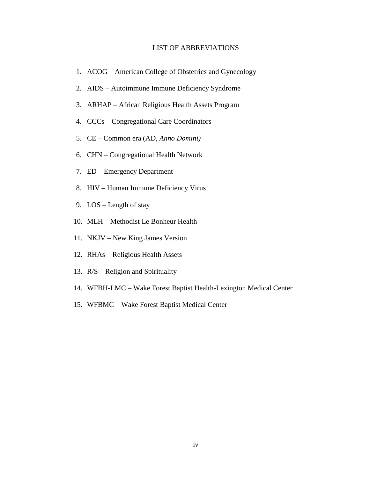#### LIST OF ABBREVIATIONS

- 1. ACOG American College of Obstetrics and Gynecology
- 2. AIDS Autoimmune Immune Deficiency Syndrome
- 3. ARHAP African Religious Health Assets Program
- 4. CCCs Congregational Care Coordinators
- 5. CE Common era (AD, *Anno Domini)*
- 6. CHN Congregational Health Network
- 7. ED Emergency Department
- 8. HIV Human Immune Deficiency Virus
- 9. LOS Length of stay
- 10. MLH Methodist Le Bonheur Health
- 11. NKJV New King James Version
- 12. RHAs Religious Health Assets
- 13. R/S Religion and Spirituality
- 14. WFBH-LMC Wake Forest Baptist Health-Lexington Medical Center
- 15. WFBMC Wake Forest Baptist Medical Center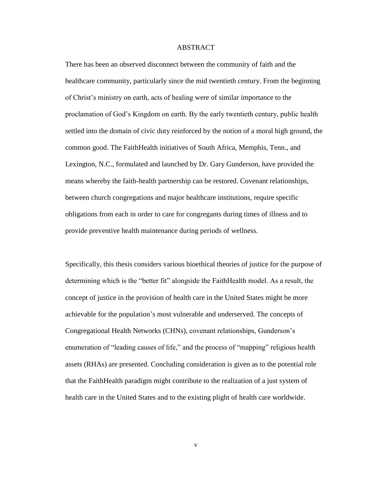#### ABSTRACT

There has been an observed disconnect between the community of faith and the healthcare community, particularly since the mid twentieth century. From the beginning of Christ's ministry on earth, acts of healing were of similar importance to the proclamation of God's Kingdom on earth. By the early twentieth century, public health settled into the domain of civic duty reinforced by the notion of a moral high ground, the common good. The FaithHealth initiatives of South Africa, Memphis, Tenn., and Lexington, N.C., formulated and launched by Dr. Gary Gunderson, have provided the means whereby the faith-health partnership can be restored. Covenant relationships, between church congregations and major healthcare institutions, require specific obligations from each in order to care for congregants during times of illness and to provide preventive health maintenance during periods of wellness.

Specifically, this thesis considers various bioethical theories of justice for the purpose of determining which is the "better fit" alongside the FaithHealth model. As a result, the concept of justice in the provision of health care in the United States might be more achievable for the population's most vulnerable and underserved. The concepts of Congregational Health Networks (CHNs), covenant relationships, Gunderson's enumeration of "leading causes of life," and the process of "mapping" religious health assets (RHAs) are presented. Concluding consideration is given as to the potential role that the FaithHealth paradigm might contribute to the realization of a just system of health care in the United States and to the existing plight of health care worldwide.

v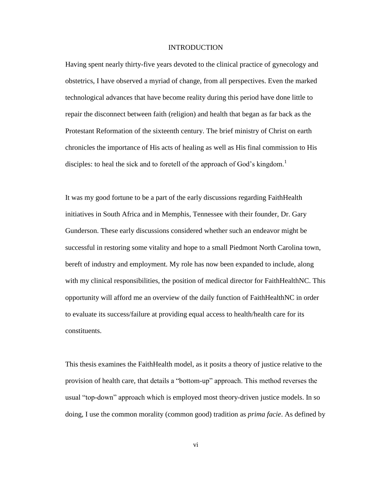#### INTRODUCTION

Having spent nearly thirty-five years devoted to the clinical practice of gynecology and obstetrics, I have observed a myriad of change, from all perspectives. Even the marked technological advances that have become reality during this period have done little to repair the disconnect between faith (religion) and health that began as far back as the Protestant Reformation of the sixteenth century. The brief ministry of Christ on earth chronicles the importance of His acts of healing as well as His final commission to His disciples: to heal the sick and to foretell of the approach of God's kingdom.<sup>1</sup>

It was my good fortune to be a part of the early discussions regarding FaithHealth initiatives in South Africa and in Memphis, Tennessee with their founder, Dr. Gary Gunderson. These early discussions considered whether such an endeavor might be successful in restoring some vitality and hope to a small Piedmont North Carolina town, bereft of industry and employment. My role has now been expanded to include, along with my clinical responsibilities, the position of medical director for FaithHealthNC. This opportunity will afford me an overview of the daily function of FaithHealthNC in order to evaluate its success/failure at providing equal access to health/health care for its constituents.

This thesis examines the FaithHealth model, as it posits a theory of justice relative to the provision of health care, that details a "bottom-up" approach. This method reverses the usual "top-down" approach which is employed most theory-driven justice models. In so doing, I use the common morality (common good) tradition as *prima facie*. As defined by

vi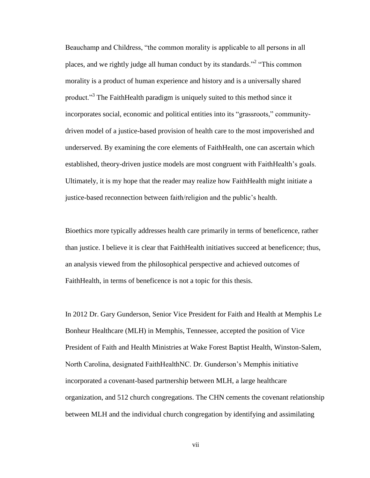Beauchamp and Childress, "the common morality is applicable to all persons in all places, and we rightly judge all human conduct by its standards."<sup>2</sup> "This common morality is a product of human experience and history and is a universally shared product."<sup>3</sup> The FaithHealth paradigm is uniquely suited to this method since it incorporates social, economic and political entities into its "grassroots," communitydriven model of a justice-based provision of health care to the most impoverished and underserved. By examining the core elements of FaithHealth, one can ascertain which established, theory-driven justice models are most congruent with FaithHealth's goals. Ultimately, it is my hope that the reader may realize how FaithHealth might initiate a justice-based reconnection between faith/religion and the public's health.

Bioethics more typically addresses health care primarily in terms of beneficence, rather than justice. I believe it is clear that FaithHealth initiatives succeed at beneficence; thus, an analysis viewed from the philosophical perspective and achieved outcomes of FaithHealth, in terms of beneficence is not a topic for this thesis.

In 2012 Dr. Gary Gunderson, Senior Vice President for Faith and Health at Memphis Le Bonheur Healthcare (MLH) in Memphis, Tennessee, accepted the position of Vice President of Faith and Health Ministries at Wake Forest Baptist Health, Winston-Salem, North Carolina, designated FaithHealthNC. Dr. Gunderson's Memphis initiative incorporated a covenant-based partnership between MLH, a large healthcare organization, and 512 church congregations. The CHN cements the covenant relationship between MLH and the individual church congregation by identifying and assimilating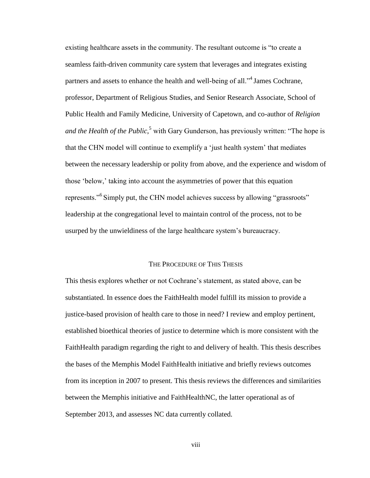existing healthcare assets in the community. The resultant outcome is "to create a seamless faith-driven community care system that leverages and integrates existing partners and assets to enhance the health and well-being of all."<sup>4</sup> James Cochrane, professor, Department of Religious Studies, and Senior Research Associate, School of Public Health and Family Medicine, University of Capetown, and co-author of *Religion and the Health of the Public*, <sup>5</sup> with Gary Gunderson, has previously written: "The hope is that the CHN model will continue to exemplify a 'just health system' that mediates between the necessary leadership or polity from above, and the experience and wisdom of those 'below,' taking into account the asymmetries of power that this equation represents."<sup>6</sup> Simply put, the CHN model achieves success by allowing "grassroots" leadership at the congregational level to maintain control of the process, not to be usurped by the unwieldiness of the large healthcare system's bureaucracy.

#### THE PROCEDURE OF THIS THESIS

This thesis explores whether or not Cochrane's statement, as stated above, can be substantiated. In essence does the FaithHealth model fulfill its mission to provide a justice-based provision of health care to those in need? I review and employ pertinent, established bioethical theories of justice to determine which is more consistent with the FaithHealth paradigm regarding the right to and delivery of health. This thesis describes the bases of the Memphis Model FaithHealth initiative and briefly reviews outcomes from its inception in 2007 to present. This thesis reviews the differences and similarities between the Memphis initiative and FaithHealthNC, the latter operational as of September 2013, and assesses NC data currently collated.

viii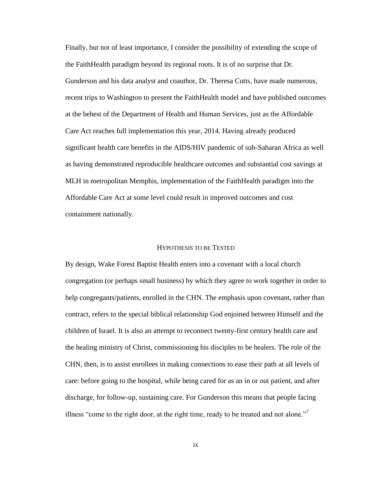Finally, but not of least importance, I consider the possibility of extending the scope of the FaithHealth paradigm beyond its regional roots. It is of no surprise that Dr. Gunderson and his data analyst and coauthor, Dr. Theresa Cutts, have made numerous, recent trips to Washington to present the FaithHealth model and have published outcomes at the behest of the Department of Health and Human Services, just as the Affordable Care Act reaches full implementation this year, 2014. Having already produced significant health care benefits in the AIDS/HIV pandemic of sub-Saharan Africa as well as having demonstrated reproducible healthcare outcomes and substantial cost savings at MLH in metropolitan Memphis, implementation of the FaithHealth paradigm into the Affordable Care Act at some level could result in improved outcomes and cost containment nationally.

#### HYPOTHESIS TO BE TESTED

By design, Wake Forest Baptist Health enters into a covenant with a local church congregation (or perhaps small business) by which they agree to work together in order to help congregants/patients, enrolled in the CHN. The emphasis upon covenant, rather than contract, refers to the special biblical relationship God enjoined between Himself and the children of Israel. It is also an attempt to reconnect twenty-first century health care and the healing ministry of Christ, commissioning his disciples to be healers. The role of the CHN, then, is to assist enrollees in making connections to ease their path at all levels of care: before going to the hospital, while being cared for as an in or out patient, and after discharge, for follow-up, sustaining care. For Gunderson this means that people facing illness "come to the right door, at the right time, ready to be treated and not alone."<sup>7</sup>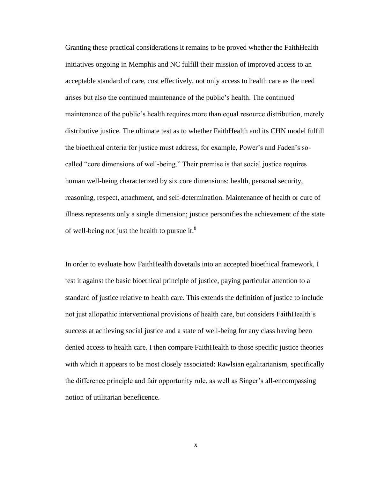Granting these practical considerations it remains to be proved whether the FaithHealth initiatives ongoing in Memphis and NC fulfill their mission of improved access to an acceptable standard of care, cost effectively, not only access to health care as the need arises but also the continued maintenance of the public's health. The continued maintenance of the public's health requires more than equal resource distribution, merely distributive justice. The ultimate test as to whether FaithHealth and its CHN model fulfill the bioethical criteria for justice must address, for example, Power's and Faden's socalled "core dimensions of well-being." Their premise is that social justice requires human well-being characterized by six core dimensions: health, personal security, reasoning, respect, attachment, and self-determination. Maintenance of health or cure of illness represents only a single dimension; justice personifies the achievement of the state of well-being not just the health to pursue it. $8<sup>8</sup>$ 

In order to evaluate how FaithHealth dovetails into an accepted bioethical framework, I test it against the basic bioethical principle of justice, paying particular attention to a standard of justice relative to health care. This extends the definition of justice to include not just allopathic interventional provisions of health care, but considers FaithHealth's success at achieving social justice and a state of well-being for any class having been denied access to health care. I then compare FaithHealth to those specific justice theories with which it appears to be most closely associated: Rawlsian egalitarianism, specifically the difference principle and fair opportunity rule, as well as Singer's all-encompassing notion of utilitarian beneficence.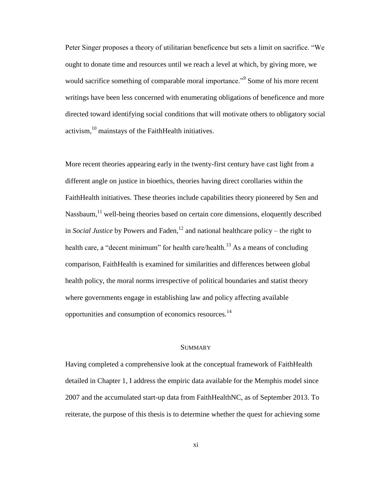Peter Singer proposes a theory of utilitarian beneficence but sets a limit on sacrifice. "We ought to donate time and resources until we reach a level at which, by giving more, we would sacrifice something of comparable moral importance."<sup>9</sup> Some of his more recent writings have been less concerned with enumerating obligations of beneficence and more directed toward identifying social conditions that will motivate others to obligatory social activism,  $^{10}$  mainstays of the FaithHealth initiatives.

More recent theories appearing early in the twenty-first century have cast light from a different angle on justice in bioethics, theories having direct corollaries within the FaithHealth initiatives. These theories include capabilities theory pioneered by Sen and Nassbaum, $<sup>11</sup>$  well-being theories based on certain core dimensions, eloquently described</sup> in *Social Justice* by Powers and Faden,<sup>12</sup> and national healthcare policy – the right to health care, a "decent minimum" for health care/health.<sup>13</sup> As a means of concluding comparison, FaithHealth is examined for similarities and differences between global health policy, the moral norms irrespective of political boundaries and statist theory where governments engage in establishing law and policy affecting available opportunities and consumption of economics resources.<sup>14</sup>

#### **SUMMARY**

Having completed a comprehensive look at the conceptual framework of FaithHealth detailed in Chapter 1, I address the empiric data available for the Memphis model since 2007 and the accumulated start-up data from FaithHealthNC, as of September 2013. To reiterate, the purpose of this thesis is to determine whether the quest for achieving some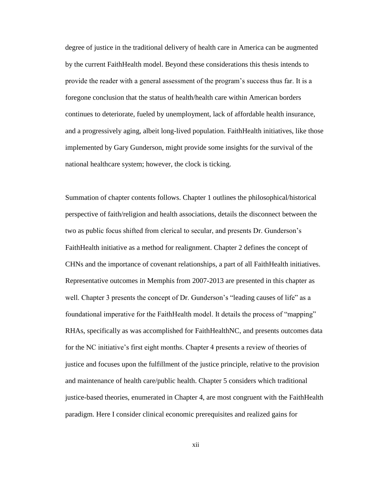degree of justice in the traditional delivery of health care in America can be augmented by the current FaithHealth model. Beyond these considerations this thesis intends to provide the reader with a general assessment of the program's success thus far. It is a foregone conclusion that the status of health/health care within American borders continues to deteriorate, fueled by unemployment, lack of affordable health insurance, and a progressively aging, albeit long-lived population. FaithHealth initiatives, like those implemented by Gary Gunderson, might provide some insights for the survival of the national healthcare system; however, the clock is ticking.

Summation of chapter contents follows. Chapter 1 outlines the philosophical/historical perspective of faith/religion and health associations, details the disconnect between the two as public focus shifted from clerical to secular, and presents Dr. Gunderson's FaithHealth initiative as a method for realignment. Chapter 2 defines the concept of CHNs and the importance of covenant relationships, a part of all FaithHealth initiatives. Representative outcomes in Memphis from 2007-2013 are presented in this chapter as well. Chapter 3 presents the concept of Dr. Gunderson's "leading causes of life" as a foundational imperative for the FaithHealth model. It details the process of "mapping" RHAs, specifically as was accomplished for FaithHealthNC, and presents outcomes data for the NC initiative's first eight months. Chapter 4 presents a review of theories of justice and focuses upon the fulfillment of the justice principle, relative to the provision and maintenance of health care/public health. Chapter 5 considers which traditional justice-based theories, enumerated in Chapter 4, are most congruent with the FaithHealth paradigm. Here I consider clinical economic prerequisites and realized gains for

xii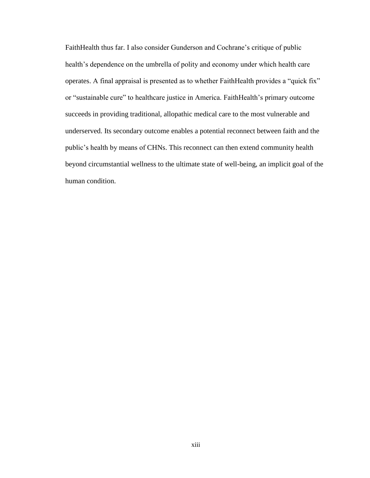FaithHealth thus far. I also consider Gunderson and Cochrane's critique of public health's dependence on the umbrella of polity and economy under which health care operates. A final appraisal is presented as to whether FaithHealth provides a "quick fix" or "sustainable cure" to healthcare justice in America. FaithHealth's primary outcome succeeds in providing traditional, allopathic medical care to the most vulnerable and underserved. Its secondary outcome enables a potential reconnect between faith and the public's health by means of CHNs. This reconnect can then extend community health beyond circumstantial wellness to the ultimate state of well-being, an implicit goal of the human condition.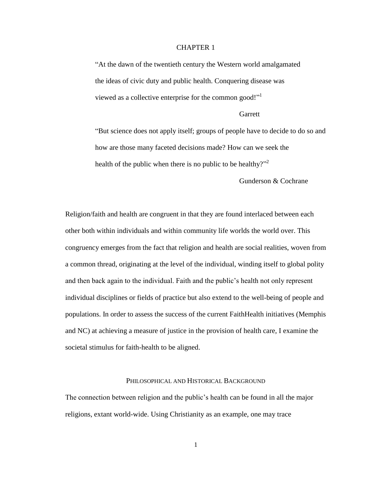### CHAPTER 1

"At the dawn of the twentieth century the Western world amalgamated the ideas of civic duty and public health. Conquering disease was viewed as a collective enterprise for the common good!"<sup>1</sup>

#### **Garrett**

"But science does not apply itself; groups of people have to decide to do so and how are those many faceted decisions made? How can we seek the health of the public when there is no public to be healthy?"

Gunderson & Cochrane

Religion/faith and health are congruent in that they are found interlaced between each other both within individuals and within community life worlds the world over. This congruency emerges from the fact that religion and health are social realities, woven from a common thread, originating at the level of the individual, winding itself to global polity and then back again to the individual. Faith and the public's health not only represent individual disciplines or fields of practice but also extend to the well-being of people and populations. In order to assess the success of the current FaithHealth initiatives (Memphis and NC) at achieving a measure of justice in the provision of health care, I examine the societal stimulus for faith-health to be aligned.

#### PHILOSOPHICAL AND HISTORICAL BACKGROUND

The connection between religion and the public's health can be found in all the major religions, extant world-wide. Using Christianity as an example, one may trace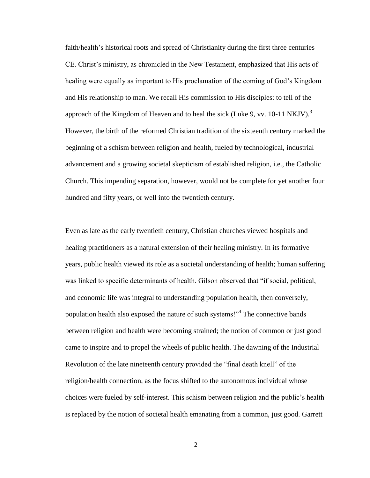faith/health's historical roots and spread of Christianity during the first three centuries CE. Christ's ministry, as chronicled in the New Testament, emphasized that His acts of healing were equally as important to His proclamation of the coming of God's Kingdom and His relationship to man. We recall His commission to His disciples: to tell of the approach of the Kingdom of Heaven and to heal the sick (Luke 9, vv. 10-11 NKJV).<sup>3</sup> However, the birth of the reformed Christian tradition of the sixteenth century marked the beginning of a schism between religion and health, fueled by technological, industrial advancement and a growing societal skepticism of established religion, i.e., the Catholic Church. This impending separation, however, would not be complete for yet another four hundred and fifty years, or well into the twentieth century.

Even as late as the early twentieth century, Christian churches viewed hospitals and healing practitioners as a natural extension of their healing ministry. In its formative years, public health viewed its role as a societal understanding of health; human suffering was linked to specific determinants of health. Gilson observed that "if social, political, and economic life was integral to understanding population health, then conversely, population health also exposed the nature of such systems!"<sup>4</sup> The connective bands between religion and health were becoming strained; the notion of common or just good came to inspire and to propel the wheels of public health. The dawning of the Industrial Revolution of the late nineteenth century provided the "final death knell" of the religion/health connection, as the focus shifted to the autonomous individual whose choices were fueled by self-interest. This schism between religion and the public's health is replaced by the notion of societal health emanating from a common, just good. Garrett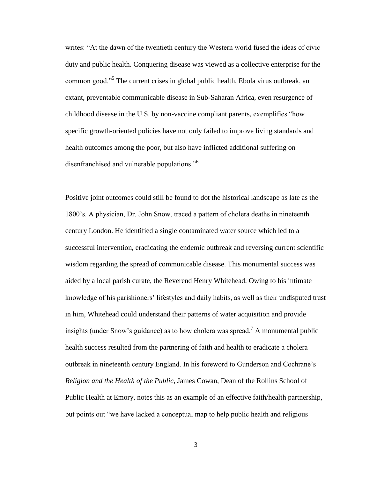writes: "At the dawn of the twentieth century the Western world fused the ideas of civic duty and public health. Conquering disease was viewed as a collective enterprise for the common good."<sup>5</sup> The current crises in global public health, Ebola virus outbreak, an extant, preventable communicable disease in Sub-Saharan Africa, even resurgence of childhood disease in the U.S. by non-vaccine compliant parents, exemplifies "how specific growth-oriented policies have not only failed to improve living standards and health outcomes among the poor, but also have inflicted additional suffering on disenfranchised and vulnerable populations."<sup>6</sup>

Positive joint outcomes could still be found to dot the historical landscape as late as the 1800's. A physician, Dr. John Snow, traced a pattern of cholera deaths in nineteenth century London. He identified a single contaminated water source which led to a successful intervention, eradicating the endemic outbreak and reversing current scientific wisdom regarding the spread of communicable disease. This monumental success was aided by a local parish curate, the Reverend Henry Whitehead. Owing to his intimate knowledge of his parishioners' lifestyles and daily habits, as well as their undisputed trust in him, Whitehead could understand their patterns of water acquisition and provide insights (under Snow's guidance) as to how cholera was spread.<sup>7</sup> A monumental public health success resulted from the partnering of faith and health to eradicate a cholera outbreak in nineteenth century England. In his foreword to Gunderson and Cochrane's *Religion and the Health of the Public*, James Cowan, Dean of the Rollins School of Public Health at Emory, notes this as an example of an effective faith/health partnership, but points out "we have lacked a conceptual map to help public health and religious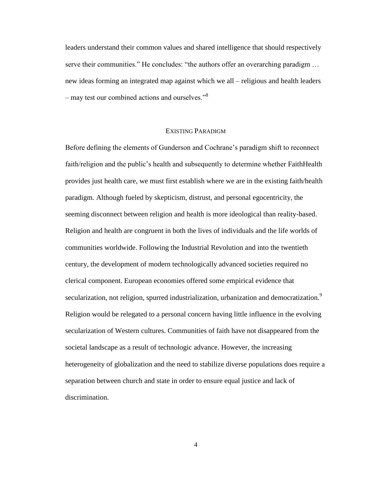leaders understand their common values and shared intelligence that should respectively serve their communities." He concludes: "the authors offer an overarching paradigm ... new ideas forming an integrated map against which we all – religious and health leaders – may test our combined actions and ourselves."<sup>8</sup>

#### EXISTING PARADIGM

Before defining the elements of Gunderson and Cochrane's paradigm shift to reconnect faith/religion and the public's health and subsequently to determine whether FaithHealth provides just health care, we must first establish where we are in the existing faith/health paradigm. Although fueled by skepticism, distrust, and personal egocentricity, the seeming disconnect between religion and health is more ideological than reality-based. Religion and health are congruent in both the lives of individuals and the life worlds of communities worldwide. Following the Industrial Revolution and into the twentieth century, the development of modern technologically advanced societies required no clerical component. European economies offered some empirical evidence that secularization, not religion, spurred industrialization, urbanization and democratization.<sup>9</sup> Religion would be relegated to a personal concern having little influence in the evolving secularization of Western cultures. Communities of faith have not disappeared from the societal landscape as a result of technologic advance. However, the increasing heterogeneity of globalization and the need to stabilize diverse populations does require a separation between church and state in order to ensure equal justice and lack of discrimination.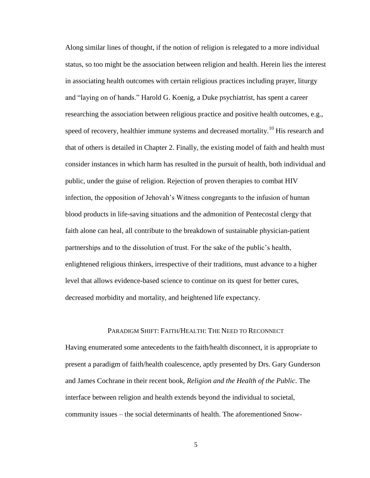Along similar lines of thought, if the notion of religion is relegated to a more individual status, so too might be the association between religion and health. Herein lies the interest in associating health outcomes with certain religious practices including prayer, liturgy and "laying on of hands." Harold G. Koenig, a Duke psychiatrist, has spent a career researching the association between religious practice and positive health outcomes, e.g., speed of recovery, healthier immune systems and decreased mortality.<sup>10</sup> His research and that of others is detailed in Chapter 2. Finally, the existing model of faith and health must consider instances in which harm has resulted in the pursuit of health, both individual and public, under the guise of religion. Rejection of proven therapies to combat HIV infection, the opposition of Jehovah's Witness congregants to the infusion of human blood products in life-saving situations and the admonition of Pentecostal clergy that faith alone can heal, all contribute to the breakdown of sustainable physician-patient partnerships and to the dissolution of trust. For the sake of the public's health, enlightened religious thinkers, irrespective of their traditions, must advance to a higher level that allows evidence-based science to continue on its quest for better cures, decreased morbidity and mortality, and heightened life expectancy.

#### PARADIGM SHIFT: FAITH/HEALTH: THE NEED TO RECONNECT

Having enumerated some antecedents to the faith/health disconnect, it is appropriate to present a paradigm of faith/health coalescence, aptly presented by Drs. Gary Gunderson and James Cochrane in their recent book, *Religion and the Health of the Public*. The interface between religion and health extends beyond the individual to societal, community issues – the social determinants of health. The aforementioned Snow-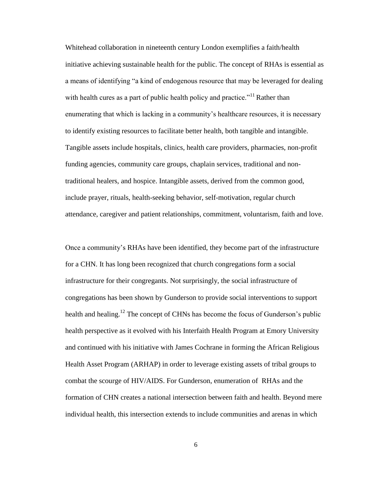Whitehead collaboration in nineteenth century London exemplifies a faith/health initiative achieving sustainable health for the public. The concept of RHAs is essential as a means of identifying "a kind of endogenous resource that may be leveraged for dealing with health cures as a part of public health policy and practice."<sup>11</sup> Rather than enumerating that which is lacking in a community's healthcare resources, it is necessary to identify existing resources to facilitate better health, both tangible and intangible. Tangible assets include hospitals, clinics, health care providers, pharmacies, non-profit funding agencies, community care groups, chaplain services, traditional and nontraditional healers, and hospice. Intangible assets, derived from the common good, include prayer, rituals, health-seeking behavior, self-motivation, regular church attendance, caregiver and patient relationships, commitment, voluntarism, faith and love.

Once a community's RHAs have been identified, they become part of the infrastructure for a CHN. It has long been recognized that church congregations form a social infrastructure for their congregants. Not surprisingly, the social infrastructure of congregations has been shown by Gunderson to provide social interventions to support health and healing.<sup>12</sup> The concept of CHNs has become the focus of Gunderson's public health perspective as it evolved with his Interfaith Health Program at Emory University and continued with his initiative with James Cochrane in forming the African Religious Health Asset Program (ARHAP) in order to leverage existing assets of tribal groups to combat the scourge of HIV/AIDS. For Gunderson, enumeration of RHAs and the formation of CHN creates a national intersection between faith and health. Beyond mere individual health, this intersection extends to include communities and arenas in which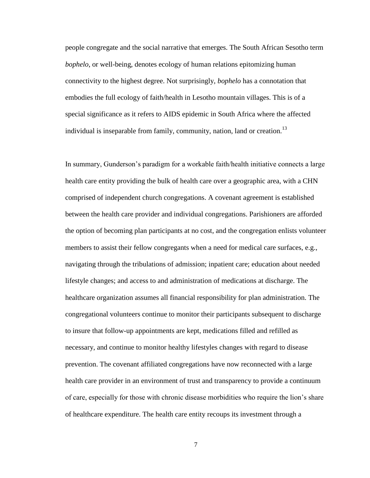people congregate and the social narrative that emerges. The South African Sesotho term *bophelo*, or well-being, denotes ecology of human relations epitomizing human connectivity to the highest degree. Not surprisingly, *bophelo* has a connotation that embodies the full ecology of faith/health in Lesotho mountain villages. This is of a special significance as it refers to AIDS epidemic in South Africa where the affected individual is inseparable from family, community, nation, land or creation.<sup>13</sup>

In summary, Gunderson's paradigm for a workable faith/health initiative connects a large health care entity providing the bulk of health care over a geographic area, with a CHN comprised of independent church congregations. A covenant agreement is established between the health care provider and individual congregations. Parishioners are afforded the option of becoming plan participants at no cost, and the congregation enlists volunteer members to assist their fellow congregants when a need for medical care surfaces, e.g., navigating through the tribulations of admission; inpatient care; education about needed lifestyle changes; and access to and administration of medications at discharge. The healthcare organization assumes all financial responsibility for plan administration. The congregational volunteers continue to monitor their participants subsequent to discharge to insure that follow-up appointments are kept, medications filled and refilled as necessary, and continue to monitor healthy lifestyles changes with regard to disease prevention. The covenant affiliated congregations have now reconnected with a large health care provider in an environment of trust and transparency to provide a continuum of care, especially for those with chronic disease morbidities who require the lion's share of healthcare expenditure. The health care entity recoups its investment through a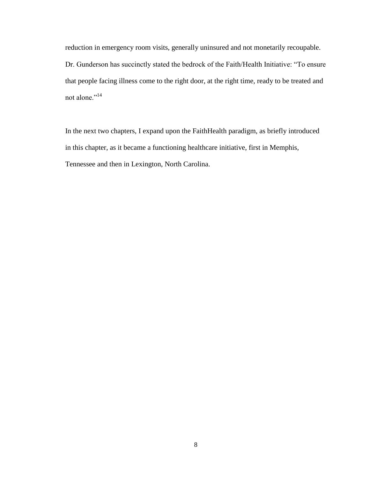reduction in emergency room visits, generally uninsured and not monetarily recoupable. Dr. Gunderson has succinctly stated the bedrock of the Faith/Health Initiative: "To ensure that people facing illness come to the right door, at the right time, ready to be treated and not alone."<sup>14</sup>

In the next two chapters, I expand upon the FaithHealth paradigm, as briefly introduced in this chapter, as it became a functioning healthcare initiative, first in Memphis, Tennessee and then in Lexington, North Carolina.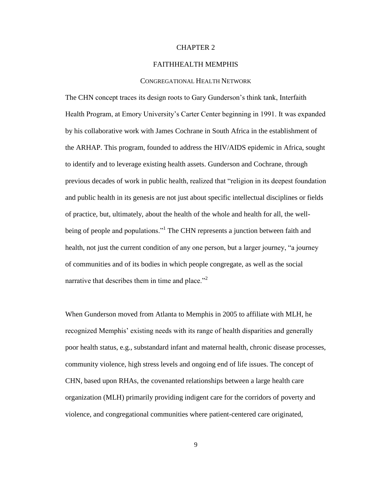#### CHAPTER 2

#### FAITHHEALTH MEMPHIS

#### CONGREGATIONAL HEALTH NETWORK

The CHN concept traces its design roots to Gary Gunderson's think tank, Interfaith Health Program, at Emory University's Carter Center beginning in 1991. It was expanded by his collaborative work with James Cochrane in South Africa in the establishment of the ARHAP. This program, founded to address the HIV/AIDS epidemic in Africa, sought to identify and to leverage existing health assets. Gunderson and Cochrane, through previous decades of work in public health, realized that "religion in its deepest foundation and public health in its genesis are not just about specific intellectual disciplines or fields of practice, but, ultimately, about the health of the whole and health for all, the wellbeing of people and populations."<sup>1</sup> The CHN represents a junction between faith and health, not just the current condition of any one person, but a larger journey, "a journey of communities and of its bodies in which people congregate, as well as the social narrative that describes them in time and place."<sup>2</sup>

When Gunderson moved from Atlanta to Memphis in 2005 to affiliate with MLH, he recognized Memphis' existing needs with its range of health disparities and generally poor health status, e.g., substandard infant and maternal health, chronic disease processes, community violence, high stress levels and ongoing end of life issues. The concept of CHN, based upon RHAs, the covenanted relationships between a large health care organization (MLH) primarily providing indigent care for the corridors of poverty and violence, and congregational communities where patient-centered care originated,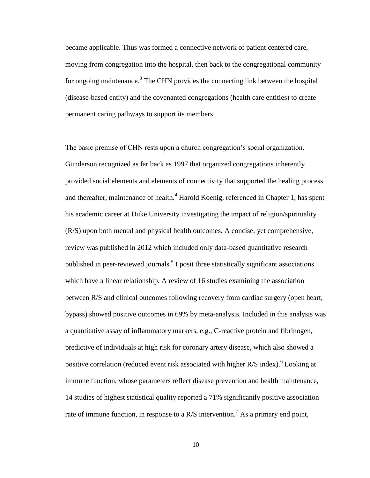became applicable. Thus was formed a connective network of patient centered care, moving from congregation into the hospital, then back to the congregational community for ongoing maintenance.<sup>3</sup> The CHN provides the connecting link between the hospital (disease-based entity) and the covenanted congregations (health care entities) to create permanent caring pathways to support its members.

The basic premise of CHN rests upon a church congregation's social organization. Gunderson recognized as far back as 1997 that organized congregations inherently provided social elements and elements of connectivity that supported the healing process and thereafter, maintenance of health.<sup>4</sup> Harold Koenig, referenced in Chapter 1, has spent his academic career at Duke University investigating the impact of religion/spirituality (R/S) upon both mental and physical health outcomes. A concise, yet comprehensive, review was published in 2012 which included only data-based quantitative research published in peer-reviewed journals.<sup>5</sup> I posit three statistically significant associations which have a linear relationship. A review of 16 studies examining the association between R/S and clinical outcomes following recovery from cardiac surgery (open heart, bypass) showed positive outcomes in 69% by meta-analysis. Included in this analysis was a quantitative assay of inflammatory markers, e.g., C-reactive protein and fibrinogen, predictive of individuals at high risk for coronary artery disease, which also showed a positive correlation (reduced event risk associated with higher R/S index).<sup>6</sup> Looking at immune function, whose parameters reflect disease prevention and health maintenance, 14 studies of highest statistical quality reported a 71% significantly positive association rate of immune function, in response to a R/S intervention.<sup>7</sup> As a primary end point,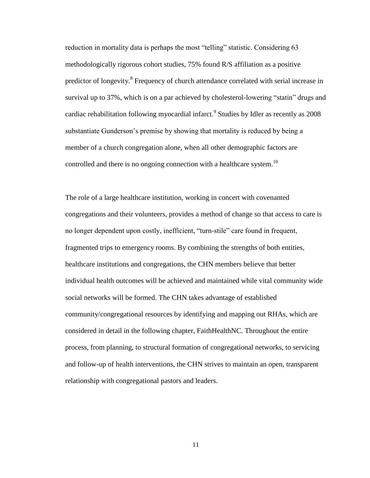reduction in mortality data is perhaps the most "telling" statistic. Considering 63 methodologically rigorous cohort studies, 75% found R/S affiliation as a positive predictor of longevity.<sup>8</sup> Frequency of church attendance correlated with serial increase in survival up to 37%, which is on a par achieved by cholesterol-lowering "statin" drugs and cardiac rehabilitation following myocardial infarct.<sup>9</sup> Studies by Idler as recently as 2008 substantiate Gunderson's premise by showing that mortality is reduced by being a member of a church congregation alone, when all other demographic factors are controlled and there is no ongoing connection with a healthcare system.<sup>10</sup>

The role of a large healthcare institution, working in concert with covenanted congregations and their volunteers, provides a method of change so that access to care is no longer dependent upon costly, inefficient, "turn-stile" care found in frequent, fragmented trips to emergency rooms. By combining the strengths of both entities, healthcare institutions and congregations, the CHN members believe that better individual health outcomes will be achieved and maintained while vital community wide social networks will be formed. The CHN takes advantage of established community/congregational resources by identifying and mapping out RHAs, which are considered in detail in the following chapter, FaithHealthNC. Throughout the entire process, from planning, to structural formation of congregational networks, to servicing and follow-up of health interventions, the CHN strives to maintain an open, transparent relationship with congregational pastors and leaders.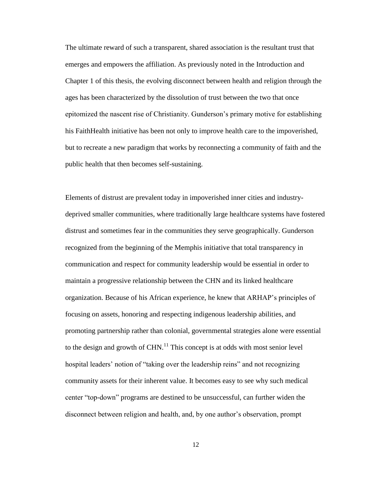The ultimate reward of such a transparent, shared association is the resultant trust that emerges and empowers the affiliation. As previously noted in the Introduction and Chapter 1 of this thesis, the evolving disconnect between health and religion through the ages has been characterized by the dissolution of trust between the two that once epitomized the nascent rise of Christianity. Gunderson's primary motive for establishing his FaithHealth initiative has been not only to improve health care to the impoverished, but to recreate a new paradigm that works by reconnecting a community of faith and the public health that then becomes self-sustaining.

Elements of distrust are prevalent today in impoverished inner cities and industrydeprived smaller communities, where traditionally large healthcare systems have fostered distrust and sometimes fear in the communities they serve geographically. Gunderson recognized from the beginning of the Memphis initiative that total transparency in communication and respect for community leadership would be essential in order to maintain a progressive relationship between the CHN and its linked healthcare organization. Because of his African experience, he knew that ARHAP's principles of focusing on assets, honoring and respecting indigenous leadership abilities, and promoting partnership rather than colonial, governmental strategies alone were essential to the design and growth of  $CHN<sup>11</sup>$ . This concept is at odds with most senior level hospital leaders' notion of "taking over the leadership reins" and not recognizing community assets for their inherent value. It becomes easy to see why such medical center "top-down" programs are destined to be unsuccessful, can further widen the disconnect between religion and health, and, by one author's observation, prompt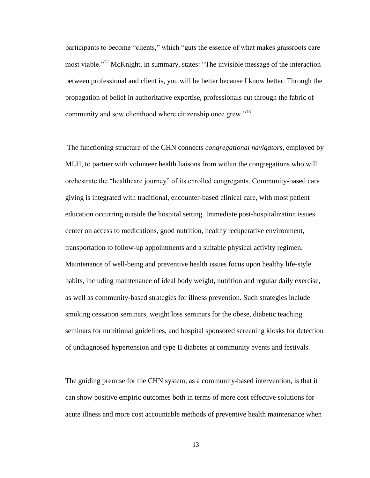participants to become "clients," which "guts the essence of what makes grassroots care most viable."<sup>12</sup> McKnight, in summary, states: "The invisible message of the interaction between professional and client is, you will be better because I know better. Through the propagation of belief in authoritative expertise, professionals cut through the fabric of community and sow clienthood where citizenship once grew."<sup>13</sup>

The functioning structure of the CHN connects *congregational navigators*, employed by MLH, to partner with volunteer health liaisons from within the congregations who will orchestrate the "healthcare journey" of its enrolled congregants. Community-based care giving is integrated with traditional, encounter-based clinical care, with most patient education occurring outside the hospital setting. Immediate post-hospitalization issues center on access to medications, good nutrition, healthy recuperative environment, transportation to follow-up appointments and a suitable physical activity regimen. Maintenance of well-being and preventive health issues focus upon healthy life-style habits, including maintenance of ideal body weight, nutrition and regular daily exercise, as well as community-based strategies for illness prevention. Such strategies include smoking cessation seminars, weight loss seminars for the obese, diabetic teaching seminars for nutritional guidelines, and hospital sponsored screening kiosks for detection of undiagnosed hypertension and type II diabetes at community events and festivals.

The guiding premise for the CHN system, as a community-based intervention, is that it can show positive empiric outcomes both in terms of more cost effective solutions for acute illness and more cost accountable methods of preventive health maintenance when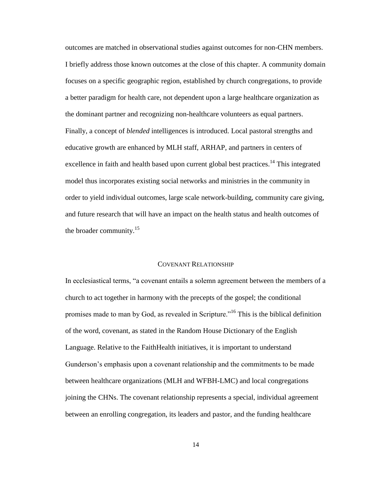outcomes are matched in observational studies against outcomes for non-CHN members. I briefly address those known outcomes at the close of this chapter. A community domain focuses on a specific geographic region, established by church congregations, to provide a better paradigm for health care, not dependent upon a large healthcare organization as the dominant partner and recognizing non-healthcare volunteers as equal partners. Finally, a concept of *blended* intelligences is introduced. Local pastoral strengths and educative growth are enhanced by MLH staff, ARHAP, and partners in centers of excellence in faith and health based upon current global best practices.<sup>14</sup> This integrated model thus incorporates existing social networks and ministries in the community in order to yield individual outcomes, large scale network-building, community care giving, and future research that will have an impact on the health status and health outcomes of the broader community.<sup>15</sup>

#### COVENANT RELATIONSHIP

In ecclesiastical terms, "a covenant entails a solemn agreement between the members of a church to act together in harmony with the precepts of the gospel; the conditional promises made to man by God, as revealed in Scripture."<sup>16</sup> This is the biblical definition of the word, covenant, as stated in the Random House Dictionary of the English Language. Relative to the FaithHealth initiatives, it is important to understand Gunderson's emphasis upon a covenant relationship and the commitments to be made between healthcare organizations (MLH and WFBH-LMC) and local congregations joining the CHNs. The covenant relationship represents a special, individual agreement between an enrolling congregation, its leaders and pastor, and the funding healthcare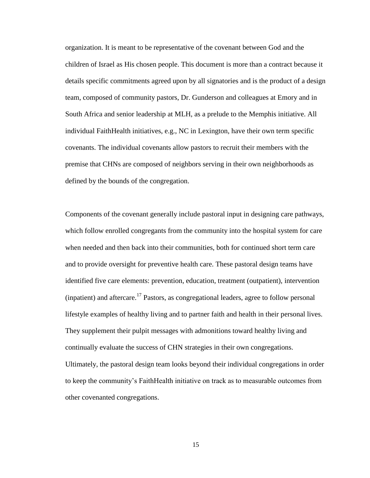organization. It is meant to be representative of the covenant between God and the children of Israel as His chosen people. This document is more than a contract because it details specific commitments agreed upon by all signatories and is the product of a design team, composed of community pastors, Dr. Gunderson and colleagues at Emory and in South Africa and senior leadership at MLH, as a prelude to the Memphis initiative. All individual FaithHealth initiatives, e.g., NC in Lexington, have their own term specific covenants. The individual covenants allow pastors to recruit their members with the premise that CHNs are composed of neighbors serving in their own neighborhoods as defined by the bounds of the congregation.

Components of the covenant generally include pastoral input in designing care pathways, which follow enrolled congregants from the community into the hospital system for care when needed and then back into their communities, both for continued short term care and to provide oversight for preventive health care. These pastoral design teams have identified five care elements: prevention, education, treatment (outpatient), intervention (inpatient) and aftercare.<sup>17</sup> Pastors, as congregational leaders, agree to follow personal lifestyle examples of healthy living and to partner faith and health in their personal lives. They supplement their pulpit messages with admonitions toward healthy living and continually evaluate the success of CHN strategies in their own congregations. Ultimately, the pastoral design team looks beyond their individual congregations in order to keep the community's FaithHealth initiative on track as to measurable outcomes from other covenanted congregations.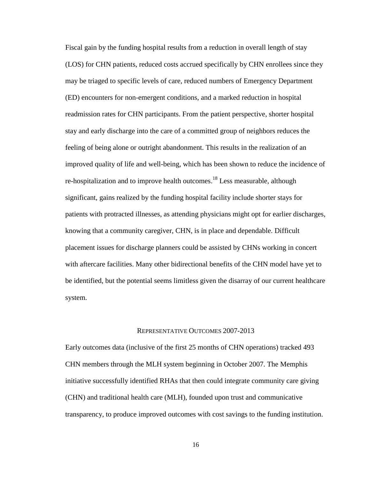Fiscal gain by the funding hospital results from a reduction in overall length of stay (LOS) for CHN patients, reduced costs accrued specifically by CHN enrollees since they may be triaged to specific levels of care, reduced numbers of Emergency Department (ED) encounters for non-emergent conditions, and a marked reduction in hospital readmission rates for CHN participants. From the patient perspective, shorter hospital stay and early discharge into the care of a committed group of neighbors reduces the feeling of being alone or outright abandonment. This results in the realization of an improved quality of life and well-being, which has been shown to reduce the incidence of re-hospitalization and to improve health outcomes.<sup>18</sup> Less measurable, although significant, gains realized by the funding hospital facility include shorter stays for patients with protracted illnesses, as attending physicians might opt for earlier discharges, knowing that a community caregiver, CHN, is in place and dependable. Difficult placement issues for discharge planners could be assisted by CHNs working in concert with aftercare facilities. Many other bidirectional benefits of the CHN model have yet to be identified, but the potential seems limitless given the disarray of our current healthcare system.

#### REPRESENTATIVE OUTCOMES 2007-2013

Early outcomes data (inclusive of the first 25 months of CHN operations) tracked 493 CHN members through the MLH system beginning in October 2007. The Memphis initiative successfully identified RHAs that then could integrate community care giving (CHN) and traditional health care (MLH), founded upon trust and communicative transparency, to produce improved outcomes with cost savings to the funding institution.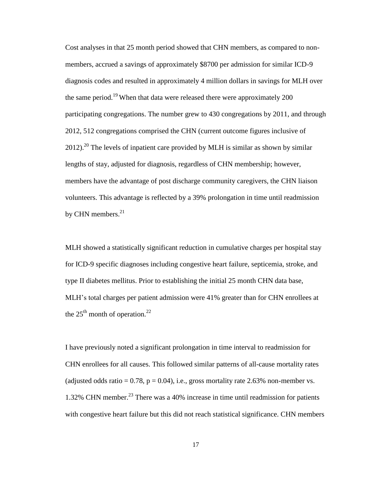Cost analyses in that 25 month period showed that CHN members, as compared to nonmembers, accrued a savings of approximately \$8700 per admission for similar ICD-9 diagnosis codes and resulted in approximately 4 million dollars in savings for MLH over the same period.<sup>19</sup> When that data were released there were approximately 200 participating congregations. The number grew to 430 congregations by 2011, and through 2012, 512 congregations comprised the CHN (current outcome figures inclusive of  $2012$ .<sup>20</sup> The levels of inpatient care provided by MLH is similar as shown by similar lengths of stay, adjusted for diagnosis, regardless of CHN membership; however, members have the advantage of post discharge community caregivers, the CHN liaison volunteers. This advantage is reflected by a 39% prolongation in time until readmission by CHN members. $21$ 

MLH showed a statistically significant reduction in cumulative charges per hospital stay for ICD-9 specific diagnoses including congestive heart failure, septicemia, stroke, and type II diabetes mellitus. Prior to establishing the initial 25 month CHN data base, MLH's total charges per patient admission were 41% greater than for CHN enrollees at the  $25<sup>th</sup>$  month of operation.<sup>22</sup>

I have previously noted a significant prolongation in time interval to readmission for CHN enrollees for all causes. This followed similar patterns of all-cause mortality rates (adjusted odds ratio = 0.78,  $p = 0.04$ ), i.e., gross mortality rate 2.63% non-member vs. 1.32% CHN member.<sup>23</sup> There was a 40% increase in time until readmission for patients with congestive heart failure but this did not reach statistical significance. CHN members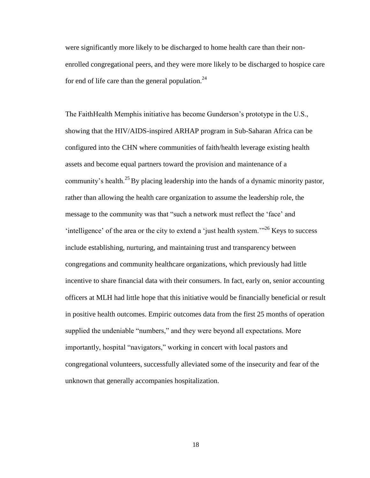were significantly more likely to be discharged to home health care than their nonenrolled congregational peers, and they were more likely to be discharged to hospice care for end of life care than the general population.<sup>24</sup>

The FaithHealth Memphis initiative has become Gunderson's prototype in the U.S., showing that the HIV/AIDS-inspired ARHAP program in Sub-Saharan Africa can be configured into the CHN where communities of faith/health leverage existing health assets and become equal partners toward the provision and maintenance of a community's health.<sup>25</sup>By placing leadership into the hands of a dynamic minority pastor, rather than allowing the health care organization to assume the leadership role, the message to the community was that "such a network must reflect the 'face' and 'intelligence' of the area or the city to extend a 'just health system. $12^{26}$  Keys to success include establishing, nurturing, and maintaining trust and transparency between congregations and community healthcare organizations, which previously had little incentive to share financial data with their consumers. In fact, early on, senior accounting officers at MLH had little hope that this initiative would be financially beneficial or result in positive health outcomes. Empiric outcomes data from the first 25 months of operation supplied the undeniable "numbers," and they were beyond all expectations. More importantly, hospital "navigators," working in concert with local pastors and congregational volunteers, successfully alleviated some of the insecurity and fear of the unknown that generally accompanies hospitalization.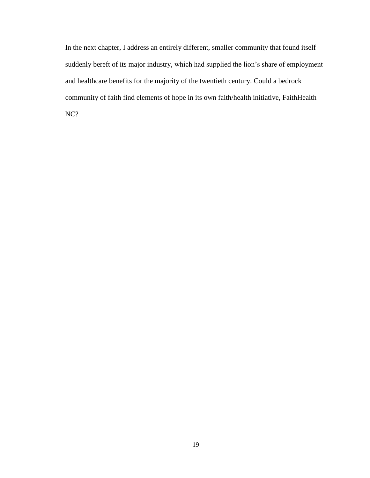In the next chapter, I address an entirely different, smaller community that found itself suddenly bereft of its major industry, which had supplied the lion's share of employment and healthcare benefits for the majority of the twentieth century. Could a bedrock community of faith find elements of hope in its own faith/health initiative, FaithHealth NC?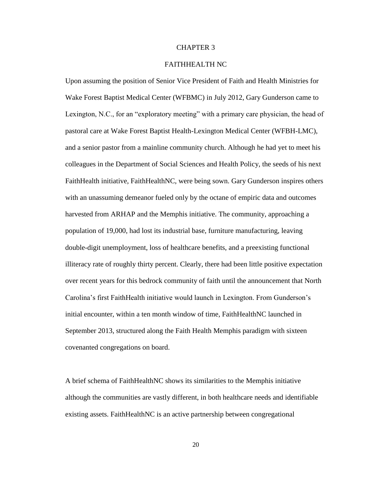#### CHAPTER 3

#### FAITHHEALTH NC

Upon assuming the position of Senior Vice President of Faith and Health Ministries for Wake Forest Baptist Medical Center (WFBMC) in July 2012, Gary Gunderson came to Lexington, N.C., for an "exploratory meeting" with a primary care physician, the head of pastoral care at Wake Forest Baptist Health-Lexington Medical Center (WFBH-LMC), and a senior pastor from a mainline community church. Although he had yet to meet his colleagues in the Department of Social Sciences and Health Policy, the seeds of his next FaithHealth initiative, FaithHealthNC, were being sown. Gary Gunderson inspires others with an unassuming demeanor fueled only by the octane of empiric data and outcomes harvested from ARHAP and the Memphis initiative. The community, approaching a population of 19,000, had lost its industrial base, furniture manufacturing, leaving double-digit unemployment, loss of healthcare benefits, and a preexisting functional illiteracy rate of roughly thirty percent. Clearly, there had been little positive expectation over recent years for this bedrock community of faith until the announcement that North Carolina's first FaithHealth initiative would launch in Lexington. From Gunderson's initial encounter, within a ten month window of time, FaithHealthNC launched in September 2013, structured along the Faith Health Memphis paradigm with sixteen covenanted congregations on board.

A brief schema of FaithHealthNC shows its similarities to the Memphis initiative although the communities are vastly different, in both healthcare needs and identifiable existing assets. FaithHealthNC is an active partnership between congregational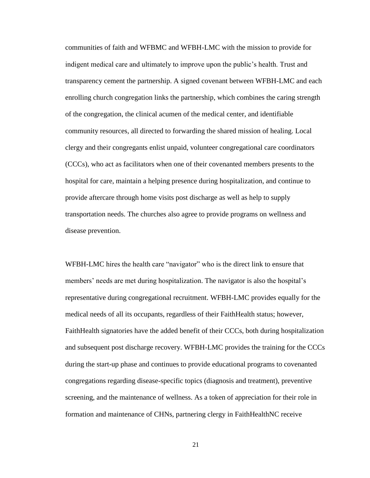communities of faith and WFBMC and WFBH-LMC with the mission to provide for indigent medical care and ultimately to improve upon the public's health. Trust and transparency cement the partnership. A signed covenant between WFBH-LMC and each enrolling church congregation links the partnership, which combines the caring strength of the congregation, the clinical acumen of the medical center, and identifiable community resources, all directed to forwarding the shared mission of healing. Local clergy and their congregants enlist unpaid, volunteer congregational care coordinators (CCCs), who act as facilitators when one of their covenanted members presents to the hospital for care, maintain a helping presence during hospitalization, and continue to provide aftercare through home visits post discharge as well as help to supply transportation needs. The churches also agree to provide programs on wellness and disease prevention.

WFBH-LMC hires the health care "navigator" who is the direct link to ensure that members' needs are met during hospitalization. The navigator is also the hospital's representative during congregational recruitment. WFBH-LMC provides equally for the medical needs of all its occupants, regardless of their FaithHealth status; however, FaithHealth signatories have the added benefit of their CCCs, both during hospitalization and subsequent post discharge recovery. WFBH-LMC provides the training for the CCCs during the start-up phase and continues to provide educational programs to covenanted congregations regarding disease-specific topics (diagnosis and treatment), preventive screening, and the maintenance of wellness. As a token of appreciation for their role in formation and maintenance of CHNs, partnering clergy in FaithHealthNC receive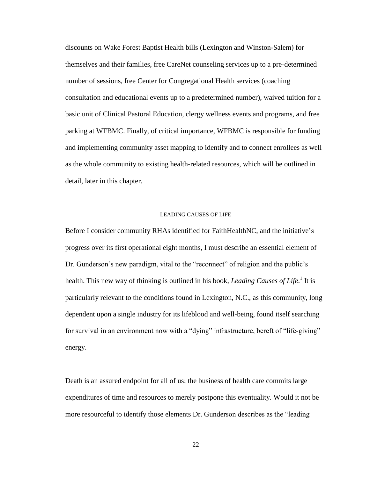discounts on Wake Forest Baptist Health bills (Lexington and Winston-Salem) for themselves and their families, free CareNet counseling services up to a pre-determined number of sessions, free Center for Congregational Health services (coaching consultation and educational events up to a predetermined number), waived tuition for a basic unit of Clinical Pastoral Education, clergy wellness events and programs, and free parking at WFBMC. Finally, of critical importance, WFBMC is responsible for funding and implementing community asset mapping to identify and to connect enrollees as well as the whole community to existing health-related resources, which will be outlined in detail, later in this chapter.

#### LEADING CAUSES OF LIFE

Before I consider community RHAs identified for FaithHealthNC, and the initiative's progress over its first operational eight months, I must describe an essential element of Dr. Gunderson's new paradigm, vital to the "reconnect" of religion and the public's health. This new way of thinking is outlined in his book, *Leading Causes of Life*.<sup>1</sup> It is particularly relevant to the conditions found in Lexington, N.C., as this community, long dependent upon a single industry for its lifeblood and well-being, found itself searching for survival in an environment now with a "dying" infrastructure, bereft of "life-giving" energy.

Death is an assured endpoint for all of us; the business of health care commits large expenditures of time and resources to merely postpone this eventuality. Would it not be more resourceful to identify those elements Dr. Gunderson describes as the "leading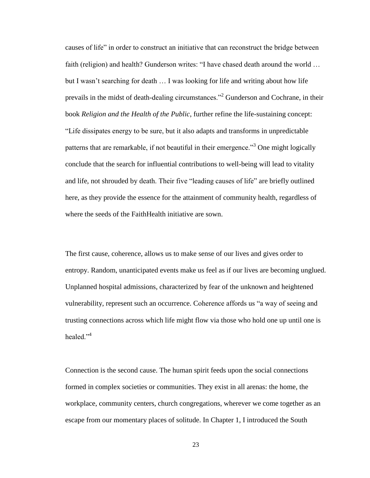causes of life" in order to construct an initiative that can reconstruct the bridge between faith (religion) and health? Gunderson writes: "I have chased death around the world … but I wasn't searching for death … I was looking for life and writing about how life prevails in the midst of death-dealing circumstances."<sup>2</sup> Gunderson and Cochrane, in their book *Religion and the Health of the Public*, further refine the life-sustaining concept: "Life dissipates energy to be sure, but it also adapts and transforms in unpredictable patterns that are remarkable, if not beautiful in their emergence.<sup>33</sup> One might logically conclude that the search for influential contributions to well-being will lead to vitality and life, not shrouded by death. Their five "leading causes of life" are briefly outlined here, as they provide the essence for the attainment of community health, regardless of where the seeds of the FaithHealth initiative are sown.

The first cause, coherence, allows us to make sense of our lives and gives order to entropy. Random, unanticipated events make us feel as if our lives are becoming unglued. Unplanned hospital admissions, characterized by fear of the unknown and heightened vulnerability, represent such an occurrence. Coherence affords us "a way of seeing and trusting connections across which life might flow via those who hold one up until one is healed $"$ <sup>4</sup>

Connection is the second cause. The human spirit feeds upon the social connections formed in complex societies or communities. They exist in all arenas: the home, the workplace, community centers, church congregations, wherever we come together as an escape from our momentary places of solitude. In Chapter 1, I introduced the South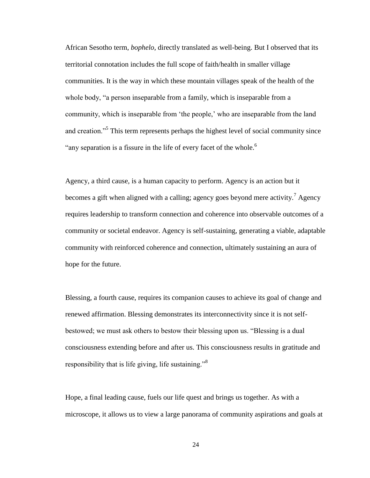African Sesotho term, *bophelo*, directly translated as well-being. But I observed that its territorial connotation includes the full scope of faith/health in smaller village communities. It is the way in which these mountain villages speak of the health of the whole body, "a person inseparable from a family, which is inseparable from a community, which is inseparable from 'the people,' who are inseparable from the land and creation."<sup>5</sup> This term represents perhaps the highest level of social community since "any separation is a fissure in the life of every facet of the whole.<sup>6</sup>

Agency, a third cause, is a human capacity to perform. Agency is an action but it becomes a gift when aligned with a calling; agency goes beyond mere activity.<sup>7</sup> Agency requires leadership to transform connection and coherence into observable outcomes of a community or societal endeavor. Agency is self-sustaining, generating a viable, adaptable community with reinforced coherence and connection, ultimately sustaining an aura of hope for the future.

Blessing, a fourth cause, requires its companion causes to achieve its goal of change and renewed affirmation. Blessing demonstrates its interconnectivity since it is not selfbestowed; we must ask others to bestow their blessing upon us. "Blessing is a dual consciousness extending before and after us. This consciousness results in gratitude and responsibility that is life giving, life sustaining."<sup>8</sup>

Hope, a final leading cause, fuels our life quest and brings us together. As with a microscope, it allows us to view a large panorama of community aspirations and goals at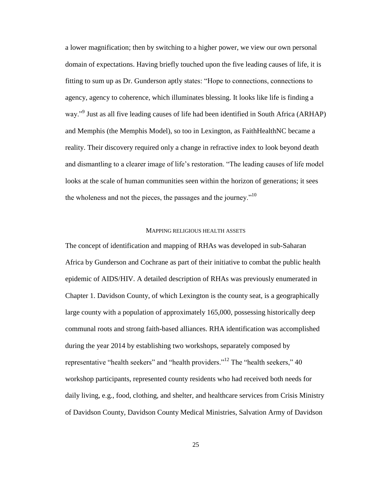a lower magnification; then by switching to a higher power, we view our own personal domain of expectations. Having briefly touched upon the five leading causes of life, it is fitting to sum up as Dr. Gunderson aptly states: "Hope to connections, connections to agency, agency to coherence, which illuminates blessing. It looks like life is finding a way."<sup>9</sup> Just as all five leading causes of life had been identified in South Africa (ARHAP) and Memphis (the Memphis Model), so too in Lexington, as FaithHealthNC became a reality. Their discovery required only a change in refractive index to look beyond death and dismantling to a clearer image of life's restoration. "The leading causes of life model looks at the scale of human communities seen within the horizon of generations; it sees the wholeness and not the pieces, the passages and the journey. $10$ 

### MAPPING RELIGIOUS HEALTH ASSETS

The concept of identification and mapping of RHAs was developed in sub-Saharan Africa by Gunderson and Cochrane as part of their initiative to combat the public health epidemic of AIDS/HIV. A detailed description of RHAs was previously enumerated in Chapter 1. Davidson County, of which Lexington is the county seat, is a geographically large county with a population of approximately 165,000, possessing historically deep communal roots and strong faith-based alliances. RHA identification was accomplished during the year 2014 by establishing two workshops, separately composed by representative "health seekers" and "health providers."<sup>12</sup> The "health seekers," 40 workshop participants, represented county residents who had received both needs for daily living, e.g., food, clothing, and shelter, and healthcare services from Crisis Ministry of Davidson County, Davidson County Medical Ministries, Salvation Army of Davidson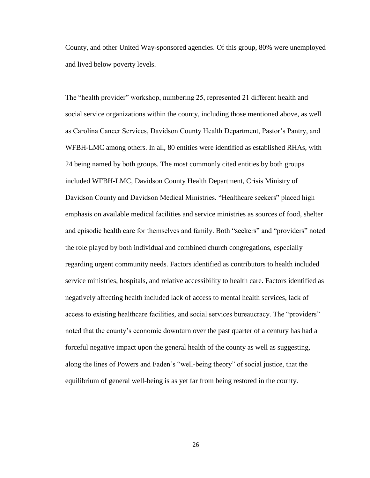County, and other United Way-sponsored agencies. Of this group, 80% were unemployed and lived below poverty levels.

The "health provider" workshop, numbering 25, represented 21 different health and social service organizations within the county, including those mentioned above, as well as Carolina Cancer Services, Davidson County Health Department, Pastor's Pantry, and WFBH-LMC among others. In all, 80 entities were identified as established RHAs, with 24 being named by both groups. The most commonly cited entities by both groups included WFBH-LMC, Davidson County Health Department, Crisis Ministry of Davidson County and Davidson Medical Ministries. "Healthcare seekers" placed high emphasis on available medical facilities and service ministries as sources of food, shelter and episodic health care for themselves and family. Both "seekers" and "providers" noted the role played by both individual and combined church congregations, especially regarding urgent community needs. Factors identified as contributors to health included service ministries, hospitals, and relative accessibility to health care. Factors identified as negatively affecting health included lack of access to mental health services, lack of access to existing healthcare facilities, and social services bureaucracy. The "providers" noted that the county's economic downturn over the past quarter of a century has had a forceful negative impact upon the general health of the county as well as suggesting, along the lines of Powers and Faden's "well-being theory" of social justice, that the equilibrium of general well-being is as yet far from being restored in the county.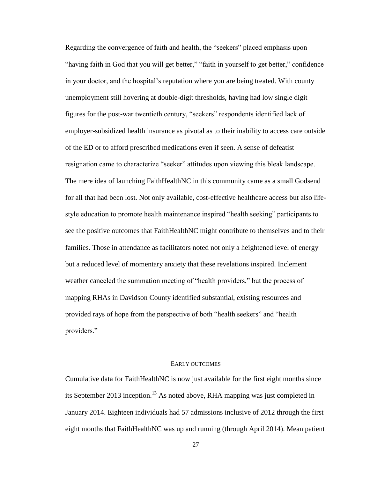Regarding the convergence of faith and health, the "seekers" placed emphasis upon "having faith in God that you will get better," "faith in yourself to get better," confidence in your doctor, and the hospital's reputation where you are being treated. With county unemployment still hovering at double-digit thresholds, having had low single digit figures for the post-war twentieth century, "seekers" respondents identified lack of employer-subsidized health insurance as pivotal as to their inability to access care outside of the ED or to afford prescribed medications even if seen. A sense of defeatist resignation came to characterize "seeker" attitudes upon viewing this bleak landscape. The mere idea of launching FaithHealthNC in this community came as a small Godsend for all that had been lost. Not only available, cost-effective healthcare access but also lifestyle education to promote health maintenance inspired "health seeking" participants to see the positive outcomes that FaithHealthNC might contribute to themselves and to their families. Those in attendance as facilitators noted not only a heightened level of energy but a reduced level of momentary anxiety that these revelations inspired. Inclement weather canceled the summation meeting of "health providers," but the process of mapping RHAs in Davidson County identified substantial, existing resources and provided rays of hope from the perspective of both "health seekers" and "health providers."

### EARLY OUTCOMES

Cumulative data for FaithHealthNC is now just available for the first eight months since its September 2013 inception.<sup>13</sup> As noted above, RHA mapping was just completed in January 2014. Eighteen individuals had 57 admissions inclusive of 2012 through the first eight months that FaithHealthNC was up and running (through April 2014). Mean patient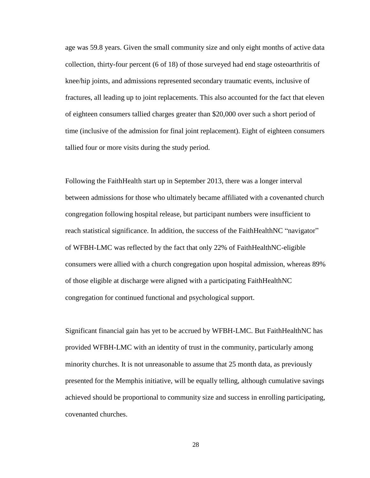age was 59.8 years. Given the small community size and only eight months of active data collection, thirty-four percent (6 of 18) of those surveyed had end stage osteoarthritis of knee/hip joints, and admissions represented secondary traumatic events, inclusive of fractures, all leading up to joint replacements. This also accounted for the fact that eleven of eighteen consumers tallied charges greater than \$20,000 over such a short period of time (inclusive of the admission for final joint replacement). Eight of eighteen consumers tallied four or more visits during the study period.

Following the FaithHealth start up in September 2013, there was a longer interval between admissions for those who ultimately became affiliated with a covenanted church congregation following hospital release, but participant numbers were insufficient to reach statistical significance. In addition, the success of the FaithHealthNC "navigator" of WFBH-LMC was reflected by the fact that only 22% of FaithHealthNC-eligible consumers were allied with a church congregation upon hospital admission, whereas 89% of those eligible at discharge were aligned with a participating FaithHealthNC congregation for continued functional and psychological support.

Significant financial gain has yet to be accrued by WFBH-LMC. But FaithHealthNC has provided WFBH-LMC with an identity of trust in the community, particularly among minority churches. It is not unreasonable to assume that 25 month data, as previously presented for the Memphis initiative, will be equally telling, although cumulative savings achieved should be proportional to community size and success in enrolling participating, covenanted churches.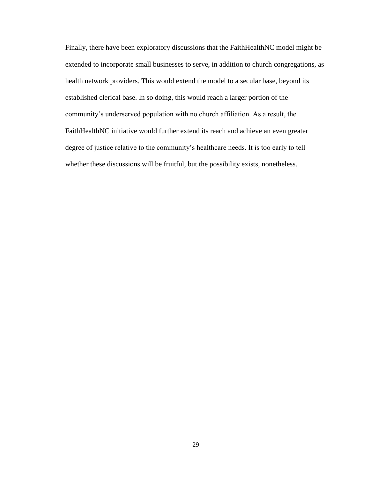Finally, there have been exploratory discussions that the FaithHealthNC model might be extended to incorporate small businesses to serve, in addition to church congregations, as health network providers. This would extend the model to a secular base, beyond its established clerical base. In so doing, this would reach a larger portion of the community's underserved population with no church affiliation. As a result, the FaithHealthNC initiative would further extend its reach and achieve an even greater degree of justice relative to the community's healthcare needs. It is too early to tell whether these discussions will be fruitful, but the possibility exists, nonetheless.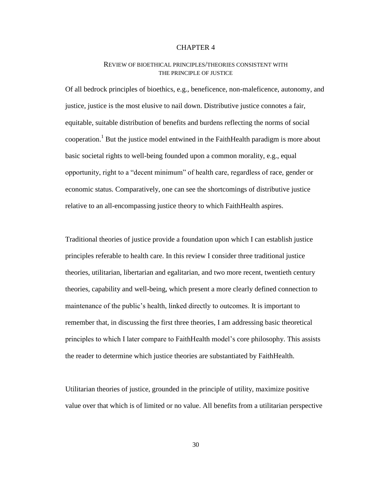# REVIEW OF BIOETHICAL PRINCIPLES/THEORIES CONSISTENT WITH THE PRINCIPLE OF JUSTICE

Of all bedrock principles of bioethics, e.g., beneficence, non-maleficence, autonomy, and justice, justice is the most elusive to nail down. Distributive justice connotes a fair, equitable, suitable distribution of benefits and burdens reflecting the norms of social cooperation.<sup>1</sup> But the justice model entwined in the FaithHealth paradigm is more about basic societal rights to well-being founded upon a common morality, e.g., equal opportunity, right to a "decent minimum" of health care, regardless of race, gender or economic status. Comparatively, one can see the shortcomings of distributive justice relative to an all-encompassing justice theory to which FaithHealth aspires.

Traditional theories of justice provide a foundation upon which I can establish justice principles referable to health care. In this review I consider three traditional justice theories, utilitarian, libertarian and egalitarian, and two more recent, twentieth century theories, capability and well-being, which present a more clearly defined connection to maintenance of the public's health, linked directly to outcomes. It is important to remember that, in discussing the first three theories, I am addressing basic theoretical principles to which I later compare to FaithHealth model's core philosophy. This assists the reader to determine which justice theories are substantiated by FaithHealth.

Utilitarian theories of justice, grounded in the principle of utility, maximize positive value over that which is of limited or no value. All benefits from a utilitarian perspective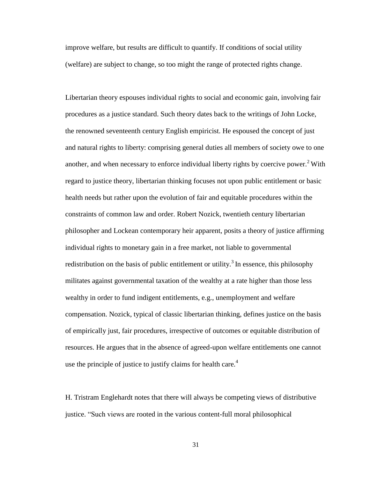improve welfare, but results are difficult to quantify. If conditions of social utility (welfare) are subject to change, so too might the range of protected rights change.

Libertarian theory espouses individual rights to social and economic gain, involving fair procedures as a justice standard. Such theory dates back to the writings of John Locke, the renowned seventeenth century English empiricist. He espoused the concept of just and natural rights to liberty: comprising general duties all members of society owe to one another, and when necessary to enforce individual liberty rights by coercive power.<sup>2</sup> With regard to justice theory, libertarian thinking focuses not upon public entitlement or basic health needs but rather upon the evolution of fair and equitable procedures within the constraints of common law and order. Robert Nozick, twentieth century libertarian philosopher and Lockean contemporary heir apparent, posits a theory of justice affirming individual rights to monetary gain in a free market, not liable to governmental redistribution on the basis of public entitlement or utility.<sup>3</sup> In essence, this philosophy militates against governmental taxation of the wealthy at a rate higher than those less wealthy in order to fund indigent entitlements, e.g., unemployment and welfare compensation. Nozick, typical of classic libertarian thinking, defines justice on the basis of empirically just, fair procedures, irrespective of outcomes or equitable distribution of resources. He argues that in the absence of agreed-upon welfare entitlements one cannot use the principle of justice to justify claims for health care.<sup>4</sup>

H. Tristram Englehardt notes that there will always be competing views of distributive justice. "Such views are rooted in the various content-full moral philosophical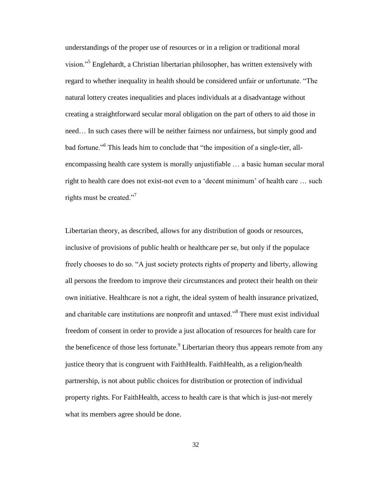understandings of the proper use of resources or in a religion or traditional moral vision."<sup>5</sup> Englehardt, a Christian libertarian philosopher, has written extensively with regard to whether inequality in health should be considered unfair or unfortunate. "The natural lottery creates inequalities and places individuals at a disadvantage without creating a straightforward secular moral obligation on the part of others to aid those in need… In such cases there will be neither fairness nor unfairness, but simply good and bad fortune."<sup>6</sup> This leads him to conclude that "the imposition of a single-tier, allencompassing health care system is morally unjustifiable … a basic human secular moral right to health care does not exist-not even to a 'decent minimum' of health care … such rights must be created."<sup>7</sup>

Libertarian theory, as described, allows for any distribution of goods or resources, inclusive of provisions of public health or healthcare per se, but only if the populace freely chooses to do so. "A just society protects rights of property and liberty, allowing all persons the freedom to improve their circumstances and protect their health on their own initiative. Healthcare is not a right, the ideal system of health insurance privatized, and charitable care institutions are nonprofit and untaxed."<sup>8</sup> There must exist individual freedom of consent in order to provide a just allocation of resources for health care for the beneficence of those less fortunate. $9$  Libertarian theory thus appears remote from any justice theory that is congruent with FaithHealth. FaithHealth, as a religion/health partnership, is not about public choices for distribution or protection of individual property rights. For FaithHealth, access to health care is that which is just-not merely what its members agree should be done.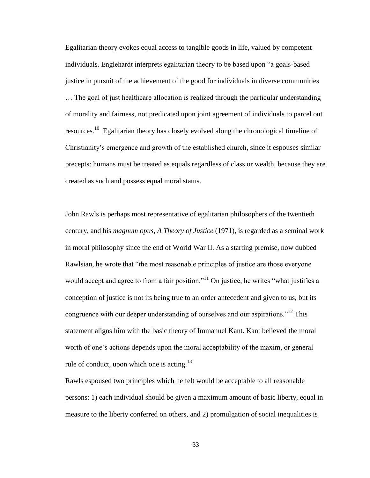Egalitarian theory evokes equal access to tangible goods in life, valued by competent individuals. Englehardt interprets egalitarian theory to be based upon "a goals-based justice in pursuit of the achievement of the good for individuals in diverse communities

… The goal of just healthcare allocation is realized through the particular understanding of morality and fairness, not predicated upon joint agreement of individuals to parcel out resources.<sup>10</sup> Egalitarian theory has closely evolved along the chronological timeline of Christianity's emergence and growth of the established church, since it espouses similar precepts: humans must be treated as equals regardless of class or wealth, because they are created as such and possess equal moral status.

John Rawls is perhaps most representative of egalitarian philosophers of the twentieth century, and his *magnum opus*, *A Theory of Justice* (1971), is regarded as a seminal work in moral philosophy since the end of World War II. As a starting premise, now dubbed Rawlsian, he wrote that "the most reasonable principles of justice are those everyone would accept and agree to from a fair position."<sup>11</sup> On justice, he writes "what justifies a conception of justice is not its being true to an order antecedent and given to us, but its congruence with our deeper understanding of ourselves and our aspirations."<sup>12</sup> This statement aligns him with the basic theory of Immanuel Kant. Kant believed the moral worth of one's actions depends upon the moral acceptability of the maxim, or general rule of conduct, upon which one is acting.<sup>13</sup>

Rawls espoused two principles which he felt would be acceptable to all reasonable persons: 1) each individual should be given a maximum amount of basic liberty, equal in measure to the liberty conferred on others, and 2) promulgation of social inequalities is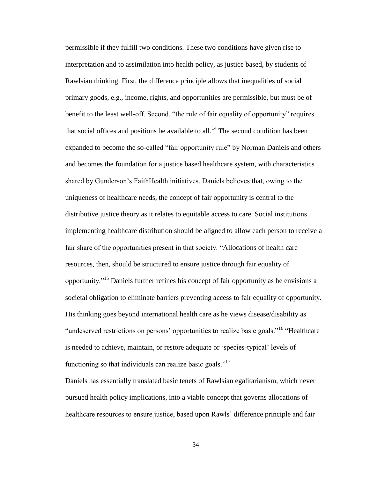permissible if they fulfill two conditions. These two conditions have given rise to interpretation and to assimilation into health policy, as justice based, by students of Rawlsian thinking. First, the difference principle allows that inequalities of social primary goods, e.g., income, rights, and opportunities are permissible, but must be of benefit to the least well-off. Second, "the rule of fair equality of opportunity" requires that social offices and positions be available to all.<sup>14</sup> The second condition has been expanded to become the so-called "fair opportunity rule" by Norman Daniels and others and becomes the foundation for a justice based healthcare system, with characteristics shared by Gunderson's FaithHealth initiatives. Daniels believes that, owing to the uniqueness of healthcare needs, the concept of fair opportunity is central to the distributive justice theory as it relates to equitable access to care. Social institutions implementing healthcare distribution should be aligned to allow each person to receive a fair share of the opportunities present in that society. "Allocations of health care resources, then, should be structured to ensure justice through fair equality of opportunity."<sup>15</sup> Daniels further refines his concept of fair opportunity as he envisions a societal obligation to eliminate barriers preventing access to fair equality of opportunity. His thinking goes beyond international health care as he views disease/disability as "undeserved restrictions on persons' opportunities to realize basic goals."<sup>16</sup> "Healthcare" is needed to achieve, maintain, or restore adequate or 'species-typical' levels of functioning so that individuals can realize basic goals."<sup>17</sup>

Daniels has essentially translated basic tenets of Rawlsian egalitarianism, which never pursued health policy implications, into a viable concept that governs allocations of healthcare resources to ensure justice, based upon Rawls' difference principle and fair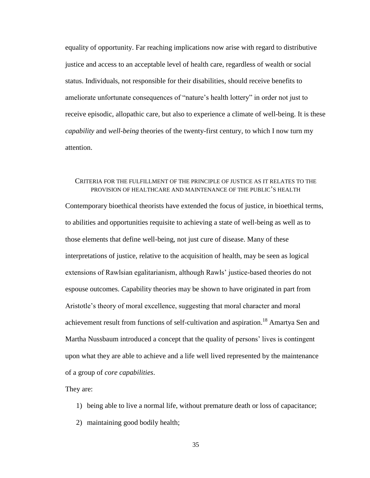equality of opportunity. Far reaching implications now arise with regard to distributive justice and access to an acceptable level of health care, regardless of wealth or social status. Individuals, not responsible for their disabilities, should receive benefits to ameliorate unfortunate consequences of "nature's health lottery" in order not just to receive episodic, allopathic care, but also to experience a climate of well-being. It is these *capability* and *well-being* theories of the twenty-first century, to which I now turn my attention.

## CRITERIA FOR THE FULFILLMENT OF THE PRINCIPLE OF JUSTICE AS IT RELATES TO THE PROVISION OF HEALTHCARE AND MAINTENANCE OF THE PUBLIC'S HEALTH

Contemporary bioethical theorists have extended the focus of justice, in bioethical terms, to abilities and opportunities requisite to achieving a state of well-being as well as to those elements that define well-being, not just cure of disease. Many of these interpretations of justice, relative to the acquisition of health, may be seen as logical extensions of Rawlsian egalitarianism, although Rawls' justice-based theories do not espouse outcomes. Capability theories may be shown to have originated in part from Aristotle's theory of moral excellence, suggesting that moral character and moral achievement result from functions of self-cultivation and aspiration.<sup>18</sup> Amartya Sen and Martha Nussbaum introduced a concept that the quality of persons' lives is contingent upon what they are able to achieve and a life well lived represented by the maintenance of a group of *core capabilities*.

They are:

- 1) being able to live a normal life, without premature death or loss of capacitance;
- 2) maintaining good bodily health;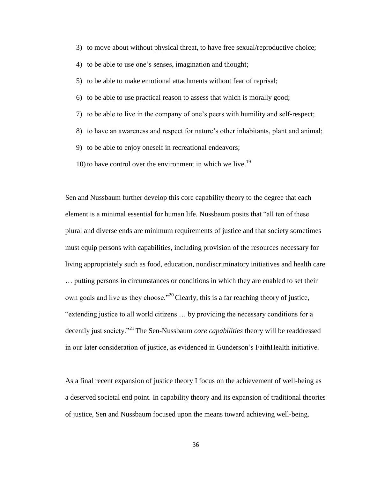3) to move about without physical threat, to have free sexual/reproductive choice;

4) to be able to use one's senses, imagination and thought;

5) to be able to make emotional attachments without fear of reprisal;

- 6) to be able to use practical reason to assess that which is morally good;
- 7) to be able to live in the company of one's peers with humility and self-respect;
- 8) to have an awareness and respect for nature's other inhabitants, plant and animal;
- 9) to be able to enjoy oneself in recreational endeavors;
- 10) to have control over the environment in which we live.<sup>19</sup>

Sen and Nussbaum further develop this core capability theory to the degree that each element is a minimal essential for human life. Nussbaum posits that "all ten of these plural and diverse ends are minimum requirements of justice and that society sometimes must equip persons with capabilities, including provision of the resources necessary for living appropriately such as food, education, nondiscriminatory initiatives and health care … putting persons in circumstances or conditions in which they are enabled to set their own goals and live as they choose."<sup>20</sup> Clearly, this is a far reaching theory of justice, "extending justice to all world citizens … by providing the necessary conditions for a decently just society."<sup>21</sup> The Sen-Nussbaum *core capabilities* theory will be readdressed in our later consideration of justice, as evidenced in Gunderson's FaithHealth initiative.

As a final recent expansion of justice theory I focus on the achievement of well-being as a deserved societal end point. In capability theory and its expansion of traditional theories of justice, Sen and Nussbaum focused upon the means toward achieving well-being.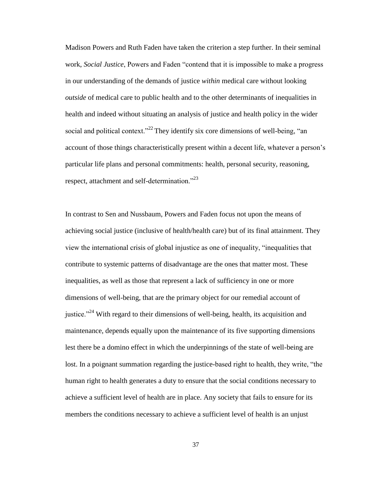Madison Powers and Ruth Faden have taken the criterion a step further. In their seminal work, *Social Justice*, Powers and Faden "contend that it is impossible to make a progress in our understanding of the demands of justice *within* medical care without looking *outside* of medical care to public health and to the other determinants of inequalities in health and indeed without situating an analysis of justice and health policy in the wider social and political context."<sup>22</sup> They identify six core dimensions of well-being, "an account of those things characteristically present within a decent life, whatever a person's particular life plans and personal commitments: health, personal security, reasoning, respect, attachment and self-determination."<sup>23</sup>

In contrast to Sen and Nussbaum, Powers and Faden focus not upon the means of achieving social justice (inclusive of health/health care) but of its final attainment. They view the international crisis of global injustice as one of inequality, "inequalities that contribute to systemic patterns of disadvantage are the ones that matter most. These inequalities, as well as those that represent a lack of sufficiency in one or more dimensions of well-being, that are the primary object for our remedial account of justice."<sup>24</sup> With regard to their dimensions of well-being, health, its acquisition and maintenance, depends equally upon the maintenance of its five supporting dimensions lest there be a domino effect in which the underpinnings of the state of well-being are lost. In a poignant summation regarding the justice-based right to health, they write, "the human right to health generates a duty to ensure that the social conditions necessary to achieve a sufficient level of health are in place. Any society that fails to ensure for its members the conditions necessary to achieve a sufficient level of health is an unjust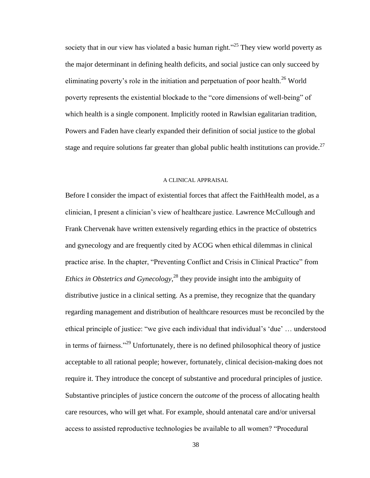society that in our view has violated a basic human right.<sup>225</sup> They view world poverty as the major determinant in defining health deficits, and social justice can only succeed by eliminating poverty's role in the initiation and perpetuation of poor health.<sup>26</sup> World poverty represents the existential blockade to the "core dimensions of well-being" of which health is a single component. Implicitly rooted in Rawlsian egalitarian tradition, Powers and Faden have clearly expanded their definition of social justice to the global stage and require solutions far greater than global public health institutions can provide.<sup>27</sup>

#### A CLINICAL APPRAISAL

Before I consider the impact of existential forces that affect the FaithHealth model, as a clinician, I present a clinician's view of healthcare justice. Lawrence McCullough and Frank Chervenak have written extensively regarding ethics in the practice of obstetrics and gynecology and are frequently cited by ACOG when ethical dilemmas in clinical practice arise. In the chapter, "Preventing Conflict and Crisis in Clinical Practice" from *Ethics in Obstetrics and Gynecology*, <sup>28</sup> they provide insight into the ambiguity of distributive justice in a clinical setting. As a premise, they recognize that the quandary regarding management and distribution of healthcare resources must be reconciled by the ethical principle of justice: "we give each individual that individual's 'due' … understood in terms of fairness."<sup>29</sup> Unfortunately, there is no defined philosophical theory of justice acceptable to all rational people; however, fortunately, clinical decision-making does not require it. They introduce the concept of substantive and procedural principles of justice. Substantive principles of justice concern the *outcome* of the process of allocating health care resources, who will get what. For example, should antenatal care and/or universal access to assisted reproductive technologies be available to all women? "Procedural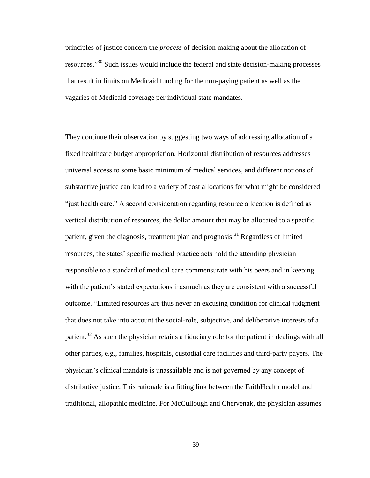principles of justice concern the *process* of decision making about the allocation of resources."<sup>30</sup> Such issues would include the federal and state decision-making processes that result in limits on Medicaid funding for the non-paying patient as well as the vagaries of Medicaid coverage per individual state mandates.

They continue their observation by suggesting two ways of addressing allocation of a fixed healthcare budget appropriation. Horizontal distribution of resources addresses universal access to some basic minimum of medical services, and different notions of substantive justice can lead to a variety of cost allocations for what might be considered "just health care." A second consideration regarding resource allocation is defined as vertical distribution of resources, the dollar amount that may be allocated to a specific patient, given the diagnosis, treatment plan and prognosis.<sup>31</sup> Regardless of limited resources, the states' specific medical practice acts hold the attending physician responsible to a standard of medical care commensurate with his peers and in keeping with the patient's stated expectations inasmuch as they are consistent with a successful outcome. "Limited resources are thus never an excusing condition for clinical judgment that does not take into account the social-role, subjective, and deliberative interests of a patient.<sup>32</sup> As such the physician retains a fiduciary role for the patient in dealings with all other parties, e.g., families, hospitals, custodial care facilities and third-party payers. The physician's clinical mandate is unassailable and is not governed by any concept of distributive justice. This rationale is a fitting link between the FaithHealth model and traditional, allopathic medicine. For McCullough and Chervenak, the physician assumes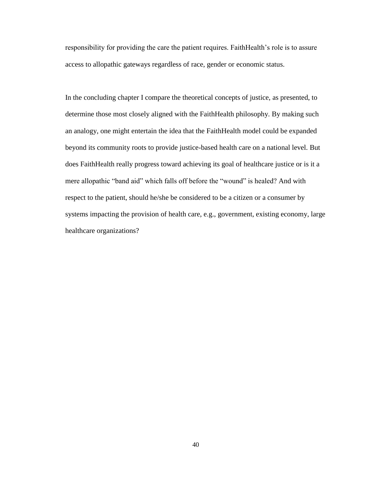responsibility for providing the care the patient requires. FaithHealth's role is to assure access to allopathic gateways regardless of race, gender or economic status.

In the concluding chapter I compare the theoretical concepts of justice, as presented, to determine those most closely aligned with the FaithHealth philosophy. By making such an analogy, one might entertain the idea that the FaithHealth model could be expanded beyond its community roots to provide justice-based health care on a national level. But does FaithHealth really progress toward achieving its goal of healthcare justice or is it a mere allopathic "band aid" which falls off before the "wound" is healed? And with respect to the patient, should he/she be considered to be a citizen or a consumer by systems impacting the provision of health care, e.g., government, existing economy, large healthcare organizations?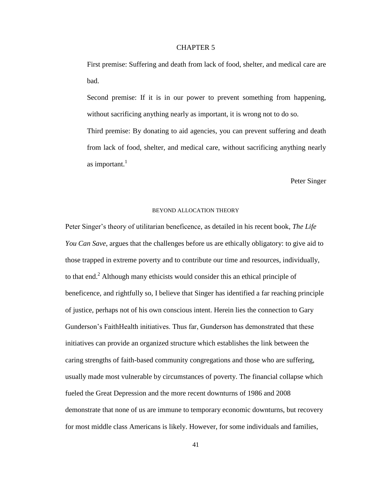First premise: Suffering and death from lack of food, shelter, and medical care are bad.

Second premise: If it is in our power to prevent something from happening, without sacrificing anything nearly as important, it is wrong not to do so. Third premise: By donating to aid agencies, you can prevent suffering and death from lack of food, shelter, and medical care, without sacrificing anything nearly as important. $<sup>1</sup>$ </sup>

Peter Singer

## BEYOND ALLOCATION THEORY

Peter Singer's theory of utilitarian beneficence, as detailed in his recent book, *The Life You Can Save*, argues that the challenges before us are ethically obligatory: to give aid to those trapped in extreme poverty and to contribute our time and resources, individually, to that end.<sup>2</sup> Although many ethicists would consider this an ethical principle of beneficence, and rightfully so, I believe that Singer has identified a far reaching principle of justice, perhaps not of his own conscious intent. Herein lies the connection to Gary Gunderson's FaithHealth initiatives. Thus far, Gunderson has demonstrated that these initiatives can provide an organized structure which establishes the link between the caring strengths of faith-based community congregations and those who are suffering, usually made most vulnerable by circumstances of poverty. The financial collapse which fueled the Great Depression and the more recent downturns of 1986 and 2008 demonstrate that none of us are immune to temporary economic downturns, but recovery for most middle class Americans is likely. However, for some individuals and families,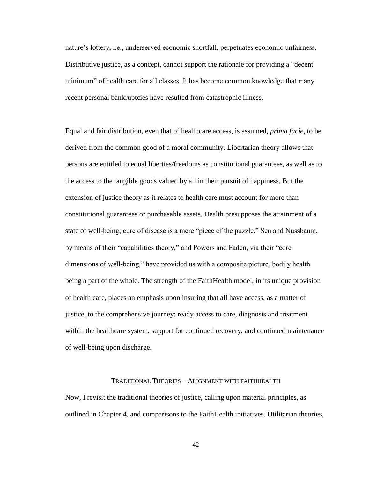nature's lottery, i.e., underserved economic shortfall, perpetuates economic unfairness. Distributive justice, as a concept, cannot support the rationale for providing a "decent minimum" of health care for all classes. It has become common knowledge that many recent personal bankruptcies have resulted from catastrophic illness.

Equal and fair distribution, even that of healthcare access, is assumed, *prima facie*, to be derived from the common good of a moral community. Libertarian theory allows that persons are entitled to equal liberties/freedoms as constitutional guarantees, as well as to the access to the tangible goods valued by all in their pursuit of happiness. But the extension of justice theory as it relates to health care must account for more than constitutional guarantees or purchasable assets. Health presupposes the attainment of a state of well-being; cure of disease is a mere "piece of the puzzle." Sen and Nussbaum, by means of their "capabilities theory," and Powers and Faden, via their "core dimensions of well-being," have provided us with a composite picture, bodily health being a part of the whole. The strength of the FaithHealth model, in its unique provision of health care, places an emphasis upon insuring that all have access, as a matter of justice, to the comprehensive journey: ready access to care, diagnosis and treatment within the healthcare system, support for continued recovery, and continued maintenance of well-being upon discharge.

### TRADITIONAL THEORIES – ALIGNMENT WITH FAITHHEALTH

Now, I revisit the traditional theories of justice, calling upon material principles, as outlined in Chapter 4, and comparisons to the FaithHealth initiatives. Utilitarian theories,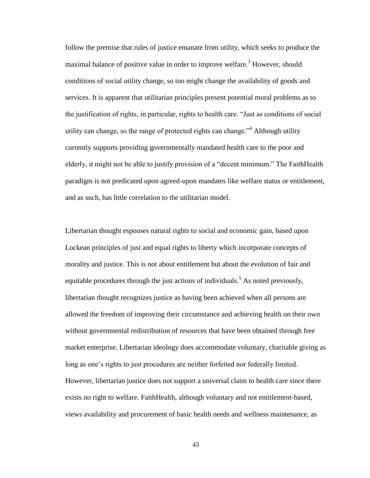follow the premise that rules of justice emanate from utility, which seeks to produce the maximal balance of positive value in order to improve welfare.<sup>3</sup> However, should conditions of social utility change, so too might change the availability of goods and services. It is apparent that utilitarian principles present potential moral problems as to the justification of rights, in particular, rights to health care. "Just as conditions of social utility can change, so the range of protected rights can change.<sup> $34$ </sup> Although utility currently supports providing governmentally mandated health care to the poor and elderly, it might not be able to justify provision of a "decent minimum." The FaithHealth paradigm is not predicated upon agreed-upon mandates like welfare status or entitlement, and as such, has little correlation to the utilitarian model.

Libertarian thought espouses natural rights to social and economic gain, based upon Lockean principles of just and equal rights to liberty which incorporate concepts of morality and justice. This is not about entitlement but about the evolution of fair and equitable procedures through the just actions of individuals.<sup>5</sup> As noted previously, libertarian thought recognizes justice as having been achieved when all persons are allowed the freedom of improving their circumstance and achieving health on their own without governmental redistribution of resources that have been obtained through free market enterprise. Libertarian ideology does accommodate voluntary, charitable giving as long as one's rights to just procedures are neither forfeited nor federally limited. However, libertarian justice does not support a universal claim to health care since there exists no right to welfare. FaithHealth, although voluntary and not entitlement-based, views availability and procurement of basic health needs and wellness maintenance, as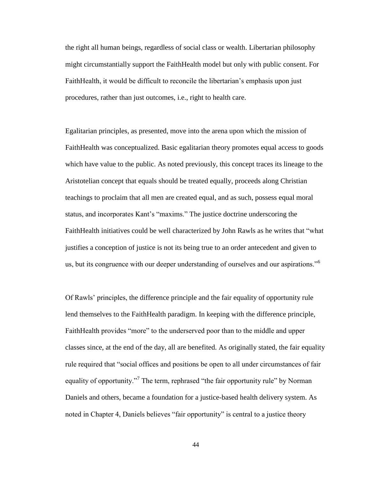the right all human beings, regardless of social class or wealth. Libertarian philosophy might circumstantially support the FaithHealth model but only with public consent. For FaithHealth, it would be difficult to reconcile the libertarian's emphasis upon just procedures, rather than just outcomes, i.e., right to health care.

Egalitarian principles, as presented, move into the arena upon which the mission of FaithHealth was conceptualized. Basic egalitarian theory promotes equal access to goods which have value to the public. As noted previously, this concept traces its lineage to the Aristotelian concept that equals should be treated equally, proceeds along Christian teachings to proclaim that all men are created equal, and as such, possess equal moral status, and incorporates Kant's "maxims." The justice doctrine underscoring the FaithHealth initiatives could be well characterized by John Rawls as he writes that "what justifies a conception of justice is not its being true to an order antecedent and given to us, but its congruence with our deeper understanding of ourselves and our aspirations."<sup>6</sup>

Of Rawls' principles, the difference principle and the fair equality of opportunity rule lend themselves to the FaithHealth paradigm. In keeping with the difference principle, FaithHealth provides "more" to the underserved poor than to the middle and upper classes since, at the end of the day, all are benefited. As originally stated, the fair equality rule required that "social offices and positions be open to all under circumstances of fair equality of opportunity."<sup>7</sup> The term, rephrased "the fair opportunity rule" by Norman Daniels and others, became a foundation for a justice-based health delivery system. As noted in Chapter 4, Daniels believes "fair opportunity" is central to a justice theory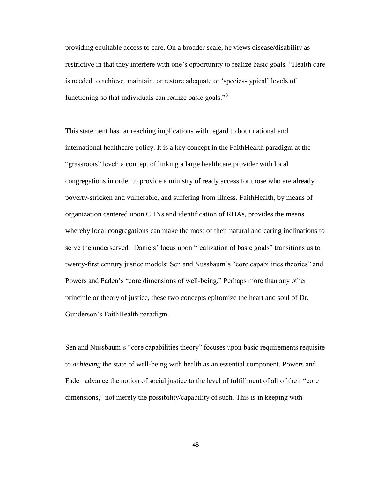providing equitable access to care. On a broader scale, he views disease/disability as restrictive in that they interfere with one's opportunity to realize basic goals. "Health care is needed to achieve, maintain, or restore adequate or 'species-typical' levels of functioning so that individuals can realize basic goals."<sup>8</sup>

This statement has far reaching implications with regard to both national and international healthcare policy. It is a key concept in the FaithHealth paradigm at the "grassroots" level: a concept of linking a large healthcare provider with local congregations in order to provide a ministry of ready access for those who are already poverty-stricken and vulnerable, and suffering from illness. FaithHealth, by means of organization centered upon CHNs and identification of RHAs, provides the means whereby local congregations can make the most of their natural and caring inclinations to serve the underserved. Daniels' focus upon "realization of basic goals" transitions us to twenty-first century justice models: Sen and Nussbaum's "core capabilities theories" and Powers and Faden's "core dimensions of well-being." Perhaps more than any other principle or theory of justice, these two concepts epitomize the heart and soul of Dr. Gunderson's FaithHealth paradigm.

Sen and Nussbaum's "core capabilities theory" focuses upon basic requirements requisite to *achieving* the state of well-being with health as an essential component. Powers and Faden advance the notion of social justice to the level of fulfillment of all of their "core dimensions," not merely the possibility/capability of such. This is in keeping with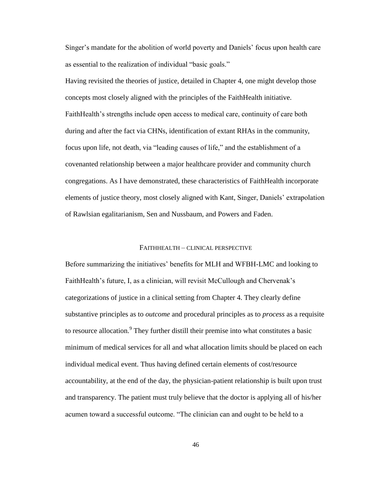Singer's mandate for the abolition of world poverty and Daniels' focus upon health care as essential to the realization of individual "basic goals."

Having revisited the theories of justice, detailed in Chapter 4, one might develop those concepts most closely aligned with the principles of the FaithHealth initiative. FaithHealth's strengths include open access to medical care, continuity of care both during and after the fact via CHNs, identification of extant RHAs in the community, focus upon life, not death, via "leading causes of life," and the establishment of a covenanted relationship between a major healthcare provider and community church congregations. As I have demonstrated, these characteristics of FaithHealth incorporate elements of justice theory, most closely aligned with Kant, Singer, Daniels' extrapolation of Rawlsian egalitarianism, Sen and Nussbaum, and Powers and Faden.

### FAITHHEALTH – CLINICAL PERSPECTIVE

Before summarizing the initiatives' benefits for MLH and WFBH-LMC and looking to FaithHealth's future, I, as a clinician, will revisit McCullough and Chervenak's categorizations of justice in a clinical setting from Chapter 4. They clearly define substantive principles as to *outcome* and procedural principles as to *process* as a requisite to resource allocation.<sup>9</sup> They further distill their premise into what constitutes a basic minimum of medical services for all and what allocation limits should be placed on each individual medical event. Thus having defined certain elements of cost/resource accountability, at the end of the day, the physician-patient relationship is built upon trust and transparency. The patient must truly believe that the doctor is applying all of his/her acumen toward a successful outcome. "The clinician can and ought to be held to a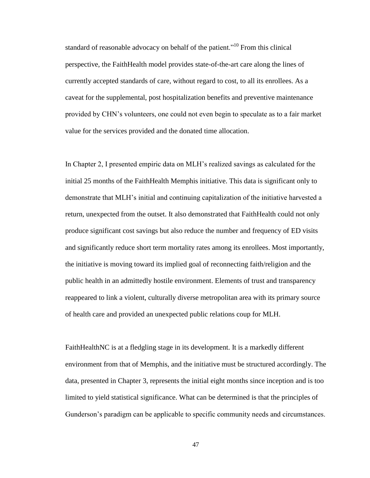standard of reasonable advocacy on behalf of the patient.<sup> $10$ </sup> From this clinical perspective, the FaithHealth model provides state-of-the-art care along the lines of currently accepted standards of care, without regard to cost, to all its enrollees. As a caveat for the supplemental, post hospitalization benefits and preventive maintenance provided by CHN's volunteers, one could not even begin to speculate as to a fair market value for the services provided and the donated time allocation.

In Chapter 2, I presented empiric data on MLH's realized savings as calculated for the initial 25 months of the FaithHealth Memphis initiative. This data is significant only to demonstrate that MLH's initial and continuing capitalization of the initiative harvested a return, unexpected from the outset. It also demonstrated that FaithHealth could not only produce significant cost savings but also reduce the number and frequency of ED visits and significantly reduce short term mortality rates among its enrollees. Most importantly, the initiative is moving toward its implied goal of reconnecting faith/religion and the public health in an admittedly hostile environment. Elements of trust and transparency reappeared to link a violent, culturally diverse metropolitan area with its primary source of health care and provided an unexpected public relations coup for MLH.

FaithHealthNC is at a fledgling stage in its development. It is a markedly different environment from that of Memphis, and the initiative must be structured accordingly. The data, presented in Chapter 3, represents the initial eight months since inception and is too limited to yield statistical significance. What can be determined is that the principles of Gunderson's paradigm can be applicable to specific community needs and circumstances.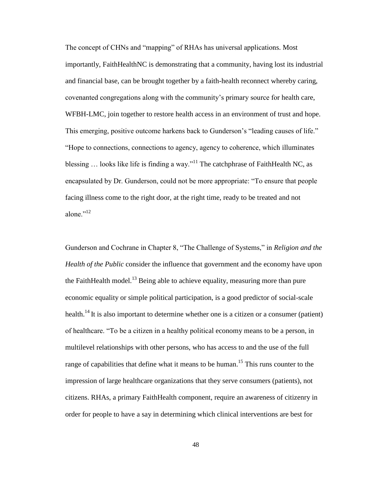The concept of CHNs and "mapping" of RHAs has universal applications. Most importantly, FaithHealthNC is demonstrating that a community, having lost its industrial and financial base, can be brought together by a faith-health reconnect whereby caring, covenanted congregations along with the community's primary source for health care, WFBH-LMC, join together to restore health access in an environment of trust and hope. This emerging, positive outcome harkens back to Gunderson's "leading causes of life." "Hope to connections, connections to agency, agency to coherence, which illuminates blessing  $\ldots$  looks like life is finding a way."<sup>11</sup> The catchphrase of FaithHealth NC, as encapsulated by Dr. Gunderson, could not be more appropriate: "To ensure that people facing illness come to the right door, at the right time, ready to be treated and not alone $^{12}$ 

Gunderson and Cochrane in Chapter 8, "The Challenge of Systems," in *Religion and the Health of the Public* consider the influence that government and the economy have upon the FaithHealth model.<sup>13</sup> Being able to achieve equality, measuring more than pure economic equality or simple political participation, is a good predictor of social-scale health.<sup>14</sup>It is also important to determine whether one is a citizen or a consumer (patient) of healthcare. "To be a citizen in a healthy political economy means to be a person, in multilevel relationships with other persons, who has access to and the use of the full range of capabilities that define what it means to be human.<sup>15</sup> This runs counter to the impression of large healthcare organizations that they serve consumers (patients), not citizens. RHAs, a primary FaithHealth component, require an awareness of citizenry in order for people to have a say in determining which clinical interventions are best for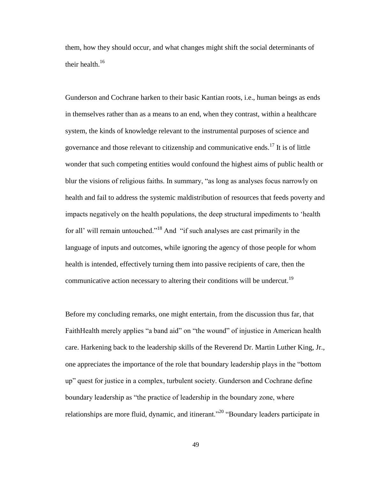them, how they should occur, and what changes might shift the social determinants of their health.<sup>16</sup>

Gunderson and Cochrane harken to their basic Kantian roots, i.e., human beings as ends in themselves rather than as a means to an end, when they contrast, within a healthcare system, the kinds of knowledge relevant to the instrumental purposes of science and governance and those relevant to citizenship and communicative ends.<sup>17</sup> It is of little wonder that such competing entities would confound the highest aims of public health or blur the visions of religious faiths. In summary, "as long as analyses focus narrowly on health and fail to address the systemic maldistribution of resources that feeds poverty and impacts negatively on the health populations, the deep structural impediments to 'health for all' will remain untouched."<sup>18</sup> And "if such analyses are cast primarily in the language of inputs and outcomes, while ignoring the agency of those people for whom health is intended, effectively turning them into passive recipients of care, then the communicative action necessary to altering their conditions will be undercut.<sup>19</sup>

Before my concluding remarks, one might entertain, from the discussion thus far, that FaithHealth merely applies "a band aid" on "the wound" of injustice in American health care. Harkening back to the leadership skills of the Reverend Dr. Martin Luther King, Jr., one appreciates the importance of the role that boundary leadership plays in the "bottom up" quest for justice in a complex, turbulent society. Gunderson and Cochrane define boundary leadership as "the practice of leadership in the boundary zone, where relationships are more fluid, dynamic, and itinerant."<sup>20</sup> "Boundary leaders participate in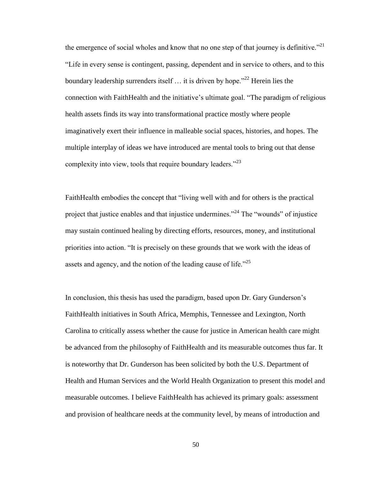the emergence of social wholes and know that no one step of that journey is definitive.<sup>"21</sup> "Life in every sense is contingent, passing, dependent and in service to others, and to this boundary leadership surrenders itself  $\ldots$  it is driven by hope.<sup>22</sup> Herein lies the connection with FaithHealth and the initiative's ultimate goal. "The paradigm of religious health assets finds its way into transformational practice mostly where people imaginatively exert their influence in malleable social spaces, histories, and hopes. The multiple interplay of ideas we have introduced are mental tools to bring out that dense complexity into view, tools that require boundary leaders." $^{23}$ 

FaithHealth embodies the concept that "living well with and for others is the practical project that justice enables and that injustice undermines."<sup>24</sup> The "wounds" of injustice may sustain continued healing by directing efforts, resources, money, and institutional priorities into action. "It is precisely on these grounds that we work with the ideas of assets and agency, and the notion of the leading cause of life. $125$ 

In conclusion, this thesis has used the paradigm, based upon Dr. Gary Gunderson's FaithHealth initiatives in South Africa, Memphis, Tennessee and Lexington, North Carolina to critically assess whether the cause for justice in American health care might be advanced from the philosophy of FaithHealth and its measurable outcomes thus far. It is noteworthy that Dr. Gunderson has been solicited by both the U.S. Department of Health and Human Services and the World Health Organization to present this model and measurable outcomes. I believe FaithHealth has achieved its primary goals: assessment and provision of healthcare needs at the community level, by means of introduction and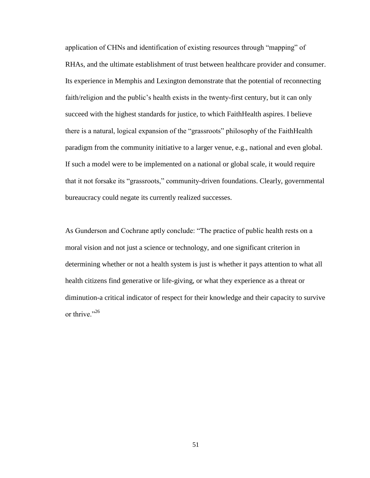application of CHNs and identification of existing resources through "mapping" of RHAs, and the ultimate establishment of trust between healthcare provider and consumer. Its experience in Memphis and Lexington demonstrate that the potential of reconnecting faith/religion and the public's health exists in the twenty-first century, but it can only succeed with the highest standards for justice, to which FaithHealth aspires. I believe there is a natural, logical expansion of the "grassroots" philosophy of the FaithHealth paradigm from the community initiative to a larger venue, e.g., national and even global. If such a model were to be implemented on a national or global scale, it would require that it not forsake its "grassroots," community-driven foundations. Clearly, governmental bureaucracy could negate its currently realized successes.

As Gunderson and Cochrane aptly conclude: "The practice of public health rests on a moral vision and not just a science or technology, and one significant criterion in determining whether or not a health system is just is whether it pays attention to what all health citizens find generative or life-giving, or what they experience as a threat or diminution-a critical indicator of respect for their knowledge and their capacity to survive or thrive."<sup>26</sup>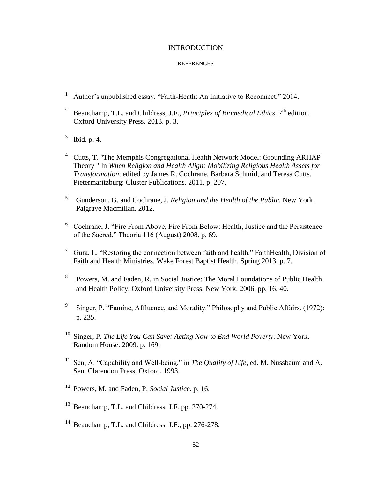## INTRODUCTION

- <sup>1</sup> Author's unpublished essay. "Faith-Heath: An Initiative to Reconnect." 2014.
- <sup>2</sup> Beauchamp, T.L. and Childress, J.F., *Principles of Biomedical Ethics*. 7<sup>th</sup> edition. Oxford University Press. 2013. p. 3.
- $3$  Ibid. p. 4.
- <sup>4</sup> Cutts, T. "The Memphis Congregational Health Network Model: Grounding ARHAP Theory " In *When Religion and Health Align: Mobilizing Religious Health Assets for Transformation*, edited by James R. Cochrane, Barbara Schmid, and Teresa Cutts. Pietermaritzburg: Cluster Publications. 2011. p. 207.
- <sup>5</sup> Gunderson, G. and Cochrane, J. *Religion and the Health of the Public*. New York. Palgrave Macmillan. 2012.
- <sup>6</sup> Cochrane, J. "Fire From Above, Fire From Below: Health, Justice and the Persistence of the Sacred." Theoria 116 (August) 2008. p. 69.
- <sup>7</sup> Gura, L. "Restoring the connection between faith and health." FaithHealth, Division of Faith and Health Ministries. Wake Forest Baptist Health. Spring 2013. p. 7.
- 8 Powers, M. and Faden, R. in Social Justice: The Moral Foundations of Public Health and Health Policy. Oxford University Press. New York. 2006. pp. 16, 40.
- 9 Singer, P. "Famine, Affluence, and Morality." Philosophy and Public Affairs. (1972): p. 235.
- <sup>10</sup> Singer, P. *The Life You Can Save: Acting Now to End World Poverty.* New York. Random House. 2009. p. 169.
- <sup>11</sup> Sen, A. "Capability and Well-being," in *The Quality of Life*, ed. M. Nussbaum and A. Sen. Clarendon Press. Oxford. 1993.
- <sup>12</sup> Powers, M. and Faden, P. *Social Justice*. p. 16.
- <sup>13</sup> Beauchamp, T.L. and Childress, J.F. pp. 270-274.
- <sup>14</sup> Beauchamp, T.L. and Childress, J.F., pp. 276-278.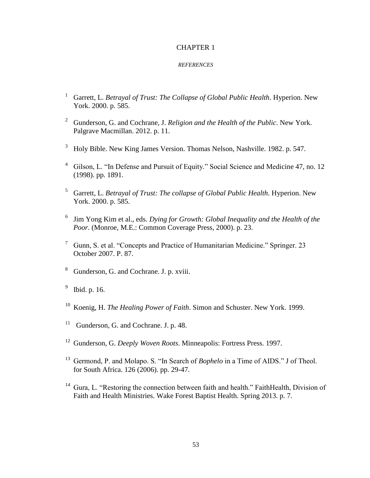- <sup>1</sup> Garrett, L. *Betrayal of Trust: The Collapse of Global Public Health*. Hyperion. New York. 2000. p. 585.
- <sup>2</sup> Gunderson, G. and Cochrane, J. *Religion and the Health of the Public*. New York. Palgrave Macmillan. 2012. p. 11.
- <sup>3</sup> Holy Bible. New King James Version. Thomas Nelson, Nashville. 1982. p. 547.
- <sup>4</sup> Gilson, L. "In Defense and Pursuit of Equity." Social Science and Medicine 47, no. 12 (1998). pp. 1891.
- <sup>5</sup> Garrett, L. *Betrayal of Trust: The collapse of Global Public Health*. Hyperion. New York. 2000. p. 585.
- <sup>6</sup> Jim Yong Kim et al., eds. *Dying for Growth: Global Inequality and the Health of the Poor*. (Monroe, M.E.: Common Coverage Press, 2000). p. 23.
- $\frac{7}{1}$  Gunn, S. et al. "Concepts and Practice of Humanitarian Medicine." Springer. 23 October 2007. P. 87.
- <sup>8</sup> Gunderson, G. and Cochrane. J. p. xviii.
- 9 Ibid. p. 16.
- <sup>10</sup> Koenig, H. *The Healing Power of Faith*. Simon and Schuster. New York. 1999.
- <sup>11</sup> Gunderson, G. and Cochrane. J. p. 48.
- <sup>12</sup> Gunderson, G. *Deeply Woven Roots*. Minneapolis: Fortress Press. 1997.
- <sup>13</sup> Germond, P. and Molapo. S. "In Search of *Bophelo* in a Time of AIDS." J of Theol. for South Africa. 126 (2006). pp. 29-47.
- <sup>14</sup> Gura, L. "Restoring the connection between faith and health." FaithHealth, Division of Faith and Health Ministries. Wake Forest Baptist Health. Spring 2013. p. 7.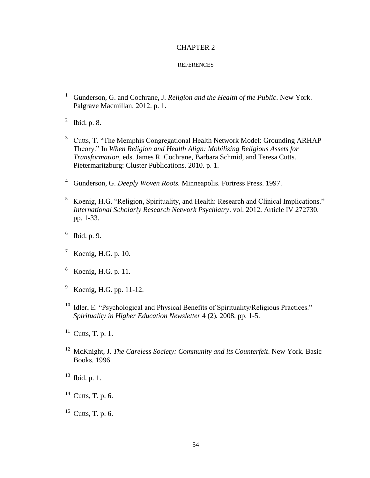- <sup>1</sup> Gunderson, G. and Cochrane, J. *Religion and the Health of the Public*. New York. Palgrave Macmillan. 2012. p. 1.
- $^2$  Ibid. p. 8.
- <sup>3</sup> Cutts, T. "The Memphis Congregational Health Network Model: Grounding ARHAP Theory." In *When Religion and Health Align: Mobilizing Religious Assets for Transformation,* eds. James R .Cochrane, Barbara Schmid, and Teresa Cutts. Pietermaritzburg: Cluster Publications. 2010. p. 1.
- <sup>4</sup> Gunderson, G. *Deeply Woven Roots.* Minneapolis. Fortress Press. 1997.
- <sup>5</sup> Koenig, H.G. "Religion, Spirituality, and Health: Research and Clinical Implications." *International Scholarly Research Network Psychiatry*. vol. 2012. Article IV 272730. pp. 1-33.
- $6$  Ibid. p. 9.
- $^7$  Koenig, H.G. p. 10.
- <sup>8</sup> Koenig, H.G. p. 11.
- $9\,$  Koenig, H.G. pp. 11-12.
- <sup>10</sup> Idler, E. "Psychological and Physical Benefits of Spirituality/Religious Practices." *Spirituality in Higher Education Newsletter* 4 (2)*.* 2008. pp. 1-5.
- $11$  Cutts, T. p. 1.
- <sup>12</sup> McKnight, J. *The Careless Society: Community and its Counterfeit*. New York. Basic Books. 1996.
- $13$  Ibid. p. 1.
- $14$  Cutts, T. p. 6.
- $15$  Cutts, T. p. 6.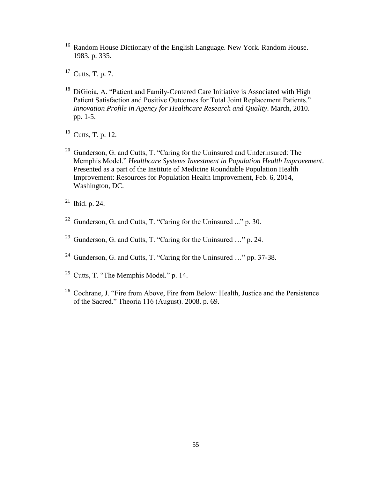- <sup>16</sup> Random House Dictionary of the English Language. New York. Random House. 1983. p. 335.
- $17$  Cutts, T. p. 7.
- <sup>18</sup> DiGioia, A. "Patient and Family-Centered Care Initiative is Associated with High Patient Satisfaction and Positive Outcomes for Total Joint Replacement Patients." *Innovation Profile in Agency for Healthcare Research and Quality*. March, 2010. pp. 1-5.
- <sup>19</sup> Cutts, T. p. 12.
- <sup>20</sup> Gunderson, G. and Cutts, T. "Caring for the Uninsured and Underinsured: The Memphis Model." *Healthcare Systems Investment in Population Health Improvement*. Presented as a part of the Institute of Medicine Roundtable Population Health Improvement: Resources for Population Health Improvement, Feb. 6, 2014, Washington, DC.
- $21$  Ibid. p. 24.
- $22$  Gunderson, G. and Cutts, T. "Caring for the Uninsured ..." p. 30.
- <sup>23</sup> Gunderson, G. and Cutts, T. "Caring for the Uninsured …" p. 24.
- <sup>24</sup> Gunderson, G. and Cutts, T. "Caring for the Uninsured ..." pp. 37-38.
- <sup>25</sup> Cutts, T. "The Memphis Model." p. 14.
- <sup>26</sup> Cochrane, J. "Fire from Above, Fire from Below: Health, Justice and the Persistence of the Sacred." Theoria 116 (August). 2008. p. 69.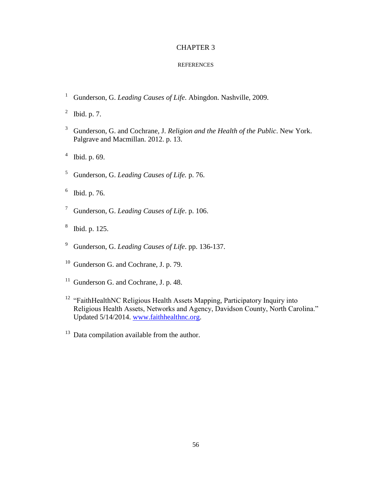- <sup>1</sup> Gunderson, G. *Leading Causes of Life*. Abingdon. Nashville, 2009.
- $^2$  Ibid. p. 7.
- <sup>3</sup> Gunderson, G. and Cochrane, J. *Religion and the Health of the Public*. New York. Palgrave and Macmillan. 2012. p. 13.
- $4$  Ibid. p. 69.
- <sup>5</sup> Gunderson, G. *Leading Causes of Life.* p. 76.
- 6 Ibid. p. 76.
- <sup>7</sup> Gunderson, G. *Leading Causes of Life*. p. 106.
- 8 Ibid. p. 125.
- <sup>9</sup> Gunderson, G. *Leading Causes of Life*. pp. 136-137.
- <sup>10</sup> Gunderson G. and Cochrane, J. p. 79.
- $11$  Gunderson G. and Cochrane, J. p. 48.
- <sup>12</sup> "FaithHealthNC Religious Health Assets Mapping, Participatory Inquiry into Religious Health Assets, Networks and Agency, Davidson County, North Carolina." Updated 5/14/2014. [www.faithhealthnc.org.](http://www.faithhealthnc.org/)
- $13$  Data compilation available from the author.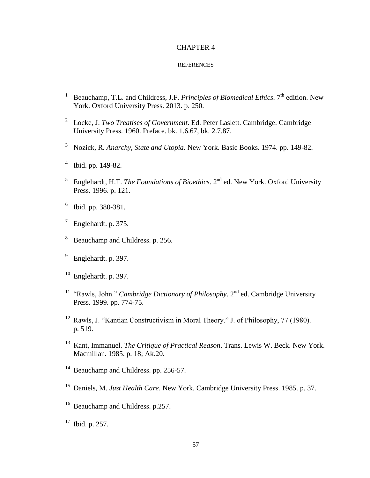- <sup>1</sup> Beauchamp, T.L. and Childress, J.F. *Principles of Biomedical Ethics*. 7<sup>th</sup> edition. New York. Oxford University Press. 2013. p. 250.
- 2 Locke, J. *Two Treatises of Government*. Ed. Peter Laslett. Cambridge. Cambridge University Press. 1960. Preface. bk. 1.6.67, bk. 2.7.87.
- <sup>3</sup> Nozick, R. *Anarchy, State and Utopia*. New York. Basic Books. 1974. pp. 149-82.
- 4 Ibid. pp. 149-82.
- <sup>5</sup> Englehardt, H.T. *The Foundations of Bioethics*. 2<sup>nd</sup> ed. New York. Oxford University Press. 1996. p. 121.
- 6 Ibid. pp. 380-381.
- $7$  Englehardt. p. 375.
- <sup>8</sup> Beauchamp and Childress. p. 256.
- <sup>9</sup> Englehardt. p. 397.
- $10$  Englehardt. p. 397.
- <sup>11</sup> "Rawls, John." *Cambridge Dictionary of Philosophy*. 2<sup>nd</sup> ed. Cambridge University Press. 1999. pp. 774-75.
- <sup>12</sup> Rawls, J. "Kantian Constructivism in Moral Theory." J. of Philosophy, 77 (1980). p. 519.
- <sup>13</sup> Kant, Immanuel. *The Critique of Practical Reason*. Trans. Lewis W. Beck. New York. Macmillan. 1985. p. 18; Ak.20.
- <sup>14</sup> Beauchamp and Childress. pp. 256-57.
- <sup>15</sup> Daniels, M. *Just Health Care*. New York. Cambridge University Press. 1985. p. 37.
- <sup>16</sup> Beauchamp and Childress. p.257.
- $17$  Ibid. p. 257.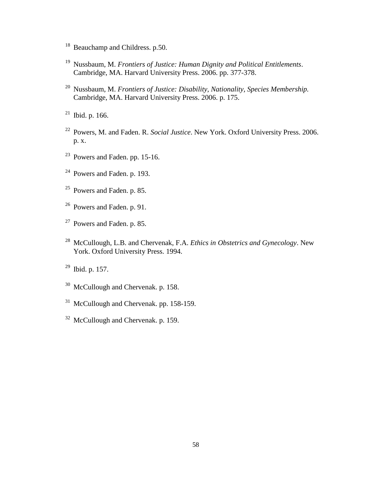- <sup>18</sup> Beauchamp and Childress. p.50.
- Nussbaum, M. *Frontiers of Justice: Human Dignity and Political Entitlements*. Cambridge, MA. Harvard University Press. 2006. pp. 377-378.
- Nussbaum, M. *Frontiers of Justice: Disability, Nationality, Species Membership.*  Cambridge, MA. Harvard University Press. 2006. p. 175.
- Ibid. p. 166.
- Powers, M. and Faden. R. *Social Justice*. New York. Oxford University Press. 2006. p. x.
- Powers and Faden. pp. 15-16.
- Powers and Faden. p. 193.
- Powers and Faden. p. 85.
- Powers and Faden. p. 91.
- Powers and Faden. p. 85.
- McCullough, L.B. and Chervenak, F.A. *Ethics in Obstetrics and Gynecology*. New York. Oxford University Press. 1994.
- Ibid. p. 157.
- <sup>30</sup> McCullough and Chervenak. p. 158.
- McCullough and Chervenak. pp. 158-159.
- <sup>32</sup> McCullough and Chervenak. p. 159.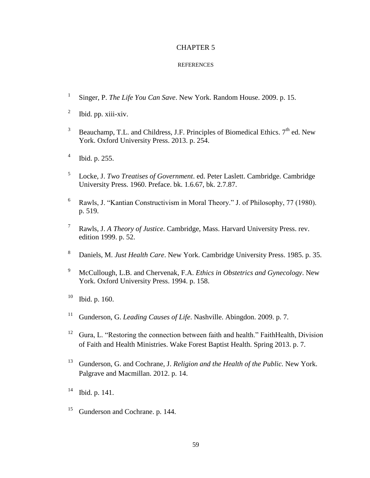- 1 Singer, P. *The Life You Can Save*. New York. Random House. 2009. p. 15.
- 2 Ibid. pp. xiii-xiv.
- <sup>3</sup> Beauchamp, T.L. and Childress, J.F. Principles of Biomedical Ethics.  $7<sup>th</sup>$  ed. New York. Oxford University Press. 2013. p. 254.
- 4 Ibid. p. 255.
- 5 Locke, J. *Two Treatises of Government*. ed. Peter Laslett. Cambridge. Cambridge University Press. 1960. Preface. bk. 1.6.67, bk. 2.7.87.
- <sup>6</sup> Rawls, J. "Kantian Constructivism in Moral Theory." J. of Philosophy, 77 (1980). p. 519.
- <sup>7</sup> Rawls, J. *A Theory of Justice*. Cambridge, Mass. Harvard University Press. rev. edition 1999. p. 52.
- <sup>8</sup> Daniels, M. *Just Health Care*. New York. Cambridge University Press. 1985. p. 35.
- <sup>9</sup> McCullough, L.B. and Chervenak, F.A. *Ethics in Obstetrics and Gynecology*. New York. Oxford University Press. 1994. p. 158.
- $10$  Ibid. p. 160.
- <sup>11</sup> Gunderson, G. *Leading Causes of Life*. Nashville. Abingdon. 2009. p. 7.
- <sup>12</sup> Gura, L. "Restoring the connection between faith and health." FaithHealth, Division of Faith and Health Ministries. Wake Forest Baptist Health. Spring 2013. p. 7.
- <sup>13</sup> Gunderson, G. and Cochrane, J. *Religion and the Health of the Public.* New York. Palgrave and Macmillan. 2012. p. 14.
- $14$  Ibid. p. 141.
- <sup>15</sup> Gunderson and Cochrane. p. 144.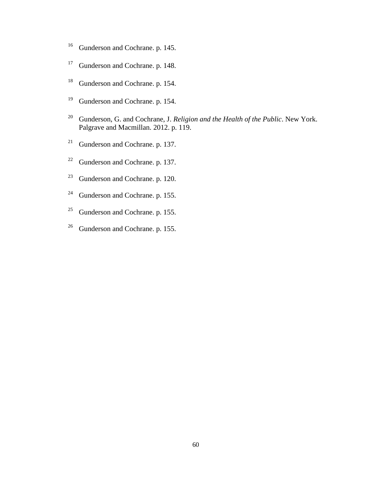- <sup>16</sup> Gunderson and Cochrane. p. 145.
- <sup>17</sup> Gunderson and Cochrane. p. 148.
- <sup>18</sup> Gunderson and Cochrane. p. 154.
- <sup>19</sup> Gunderson and Cochrane. p. 154.
- <sup>20</sup> Gunderson, G. and Cochrane, J. *Religion and the Health of the Public*. New York. Palgrave and Macmillan. 2012. p. 119.
- <sup>21</sup> Gunderson and Cochrane. p. 137.
- <sup>22</sup> Gunderson and Cochrane. p. 137.
- <sup>23</sup> Gunderson and Cochrane. p. 120.
- <sup>24</sup> Gunderson and Cochrane. p. 155.
- <sup>25</sup> Gunderson and Cochrane. p. 155.
- <sup>26</sup> Gunderson and Cochrane. p. 155.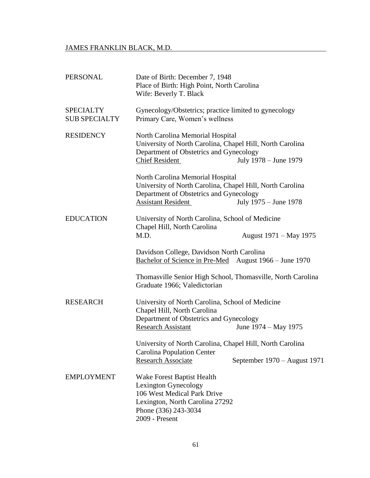## JAMES FRANKLIN BLACK, M.D.

| <b>PERSONAL</b>                          | Date of Birth: December 7, 1948<br>Place of Birth: High Point, North Carolina<br>Wife: Beverly T. Black                                                                                        |
|------------------------------------------|------------------------------------------------------------------------------------------------------------------------------------------------------------------------------------------------|
| <b>SPECIALTY</b><br><b>SUB SPECIALTY</b> | Gynecology/Obstetrics; practice limited to gynecology<br>Primary Care, Women's wellness                                                                                                        |
| <b>RESIDENCY</b>                         | North Carolina Memorial Hospital<br>University of North Carolina, Chapel Hill, North Carolina<br>Department of Obstetrics and Gynecology<br><b>Chief Resident</b><br>July 1978 – June 1979     |
|                                          | North Carolina Memorial Hospital<br>University of North Carolina, Chapel Hill, North Carolina<br>Department of Obstetrics and Gynecology<br><b>Assistant Resident</b><br>July 1975 – June 1978 |
| <b>EDUCATION</b>                         | University of North Carolina, School of Medicine<br>Chapel Hill, North Carolina<br>M.D.<br>August 1971 – May 1975                                                                              |
|                                          | Davidson College, Davidson North Carolina<br><u>Bachelor of Science in Pre-Med</u> August 1966 – June 1970                                                                                     |
|                                          | Thomasville Senior High School, Thomasville, North Carolina<br>Graduate 1966; Valedictorian                                                                                                    |
| <b>RESEARCH</b>                          | University of North Carolina, School of Medicine<br>Chapel Hill, North Carolina<br>Department of Obstetrics and Gynecology<br><b>Research Assistant</b><br>June 1974 – May 1975                |
|                                          | University of North Carolina, Chapel Hill, North Carolina<br><b>Carolina Population Center</b><br><b>Research Associate</b><br>September 1970 – August 1971                                    |
| <b>EMPLOYMENT</b>                        | Wake Forest Baptist Health<br>Lexington Gynecology<br>106 West Medical Park Drive<br>Lexington, North Carolina 27292<br>Phone (336) 243-3034<br>2009 - Present                                 |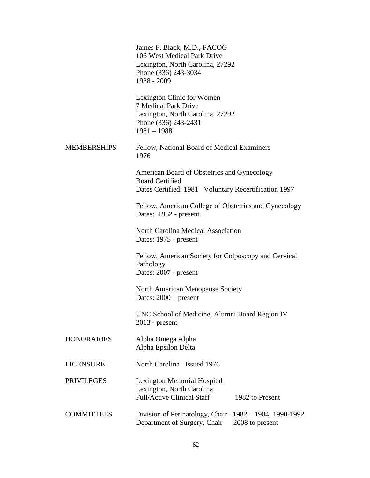|                    | James F. Black, M.D., FACOG<br>106 West Medical Park Drive<br>Lexington, North Carolina, 27292<br>Phone (336) 243-3034<br>1988 - 2009 |
|--------------------|---------------------------------------------------------------------------------------------------------------------------------------|
|                    | Lexington Clinic for Women<br>7 Medical Park Drive<br>Lexington, North Carolina, 27292<br>Phone (336) 243-2431<br>$1981 - 1988$       |
| <b>MEMBERSHIPS</b> | Fellow, National Board of Medical Examiners<br>1976                                                                                   |
|                    | American Board of Obstetrics and Gynecology<br><b>Board Certified</b><br>Dates Certified: 1981 Voluntary Recertification 1997         |
|                    | Fellow, American College of Obstetrics and Gynecology<br>Dates: 1982 - present                                                        |
|                    | North Carolina Medical Association<br>Dates: 1975 - present                                                                           |
|                    | Fellow, American Society for Colposcopy and Cervical<br>Pathology<br>Dates: 2007 - present                                            |
|                    | North American Menopause Society<br>Dates: 2000 - present                                                                             |
|                    | UNC School of Medicine, Alumni Board Region IV<br>$2013$ - present                                                                    |
| <b>HONORARIES</b>  | Alpha Omega Alpha<br>Alpha Epsilon Delta                                                                                              |
| <b>LICENSURE</b>   | North Carolina Issued 1976                                                                                                            |
| <b>PRIVILEGES</b>  | <b>Lexington Memorial Hospital</b><br>Lexington, North Carolina<br><b>Full/Active Clinical Staff</b><br>1982 to Present               |
| <b>COMMITTEES</b>  | Division of Perinatology, Chair<br>1982 - 1984; 1990-1992<br>Department of Surgery, Chair<br>2008 to present                          |